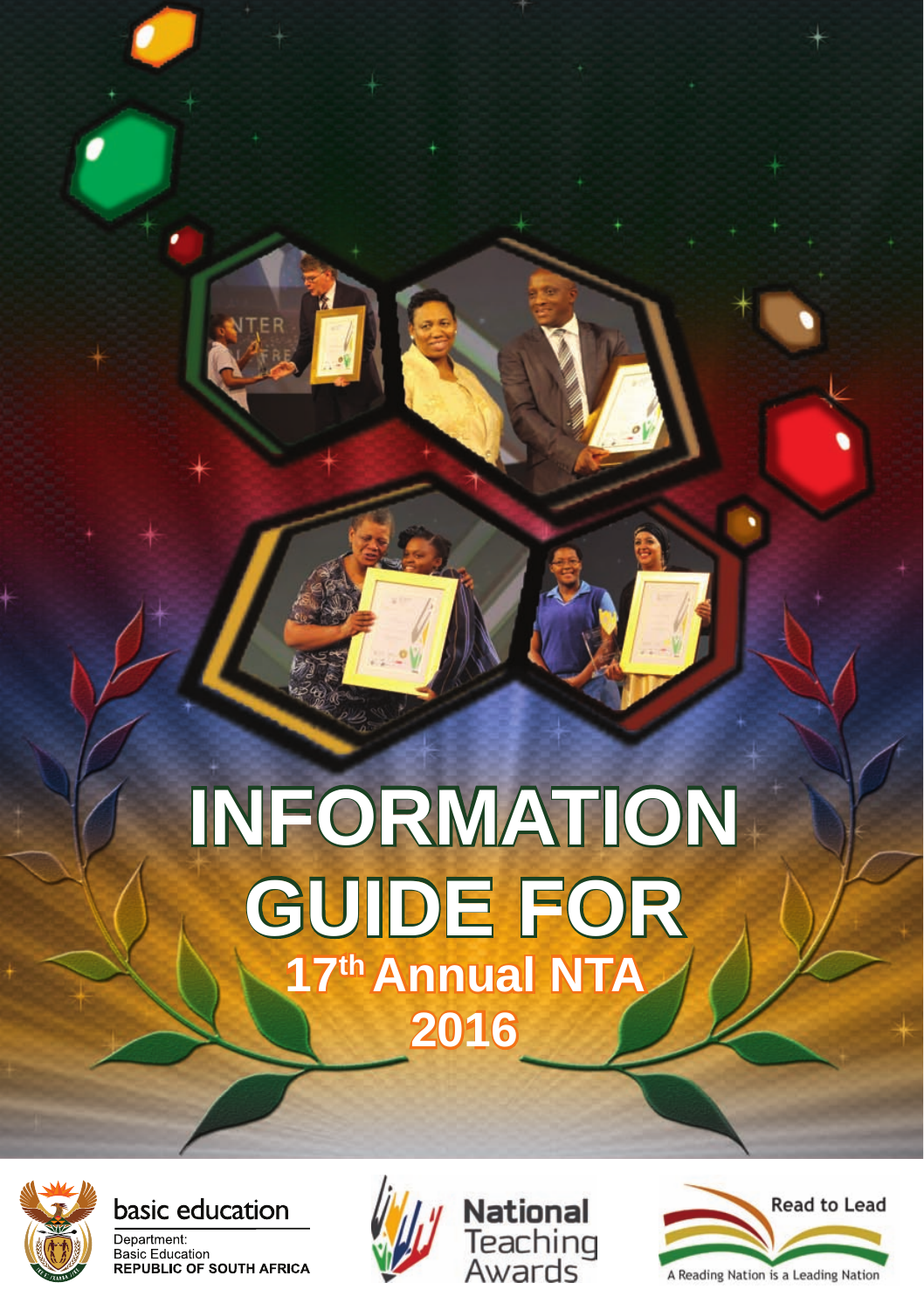# **INFORMATION GUIDE FOR**  17<sup>th</sup> Annual NTA **2016**



basic education







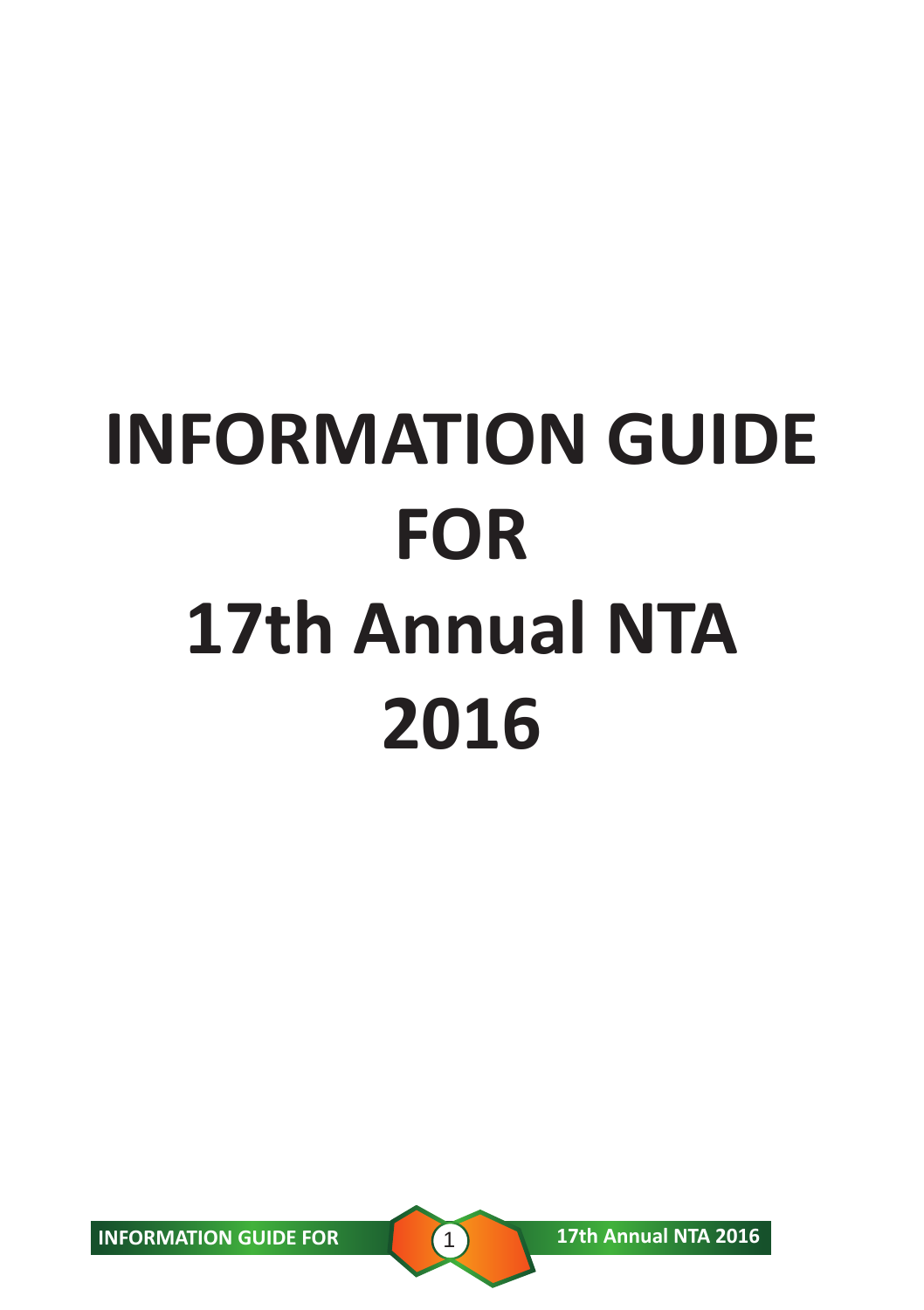# **INFORMATION GUIDE FOR 17th Annual NTA 2016**

**INFORMATION GUIDE FOR 17th Annual NTA 2016**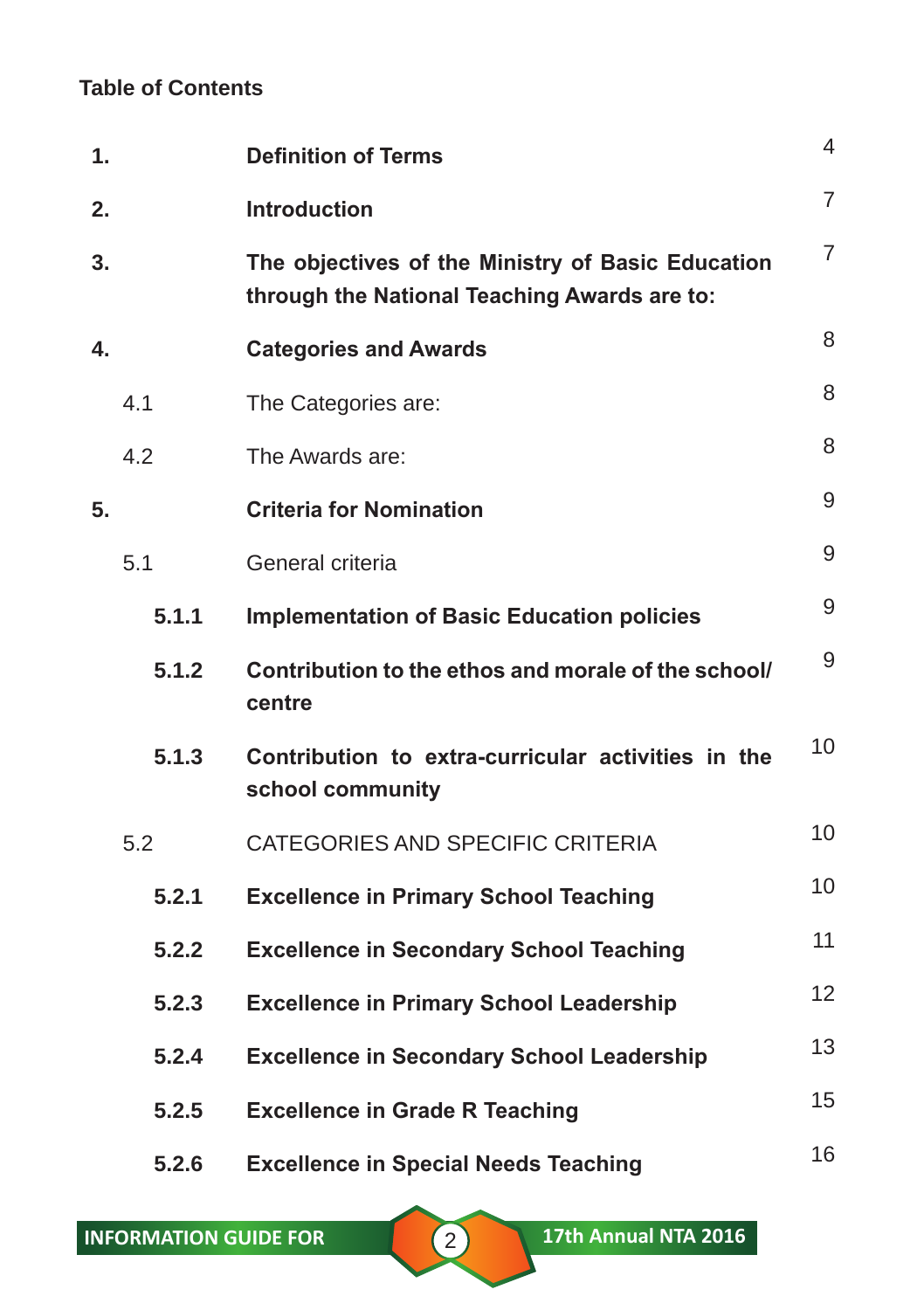# **Table of Contents**

| 1. |       | <b>Definition of Terms</b>                                                                        | 4              |
|----|-------|---------------------------------------------------------------------------------------------------|----------------|
| 2. |       | <b>Introduction</b>                                                                               | $\overline{7}$ |
| 3. |       | The objectives of the Ministry of Basic Education<br>through the National Teaching Awards are to: | 7              |
| 4. |       | <b>Categories and Awards</b>                                                                      | 8              |
|    | 4.1   | The Categories are:                                                                               | 8              |
|    | 4.2   | The Awards are:                                                                                   | 8              |
| 5. |       | <b>Criteria for Nomination</b>                                                                    | 9              |
|    | 5.1   | General criteria                                                                                  | 9              |
|    | 5.1.1 | <b>Implementation of Basic Education policies</b>                                                 | 9              |
|    | 5.1.2 | Contribution to the ethos and morale of the school/<br>centre                                     | 9              |
|    | 5.1.3 | Contribution to extra-curricular activities in the<br>school community                            | 10             |
|    | 5.2   | CATEGORIES AND SPECIFIC CRITERIA                                                                  | 10             |
|    | 5.2.1 | <b>Excellence in Primary School Teaching</b>                                                      | 10             |
|    | 5.2.2 | <b>Excellence in Secondary School Teaching</b>                                                    | 11             |
|    | 5.2.3 | <b>Excellence in Primary School Leadership</b>                                                    | 12             |
|    | 5.2.4 | <b>Excellence in Secondary School Leadership</b>                                                  | 13             |
|    | 5.2.5 | <b>Excellence in Grade R Teaching</b>                                                             | 15             |
|    | 5.2.6 | <b>Excellence in Special Needs Teaching</b>                                                       | 16             |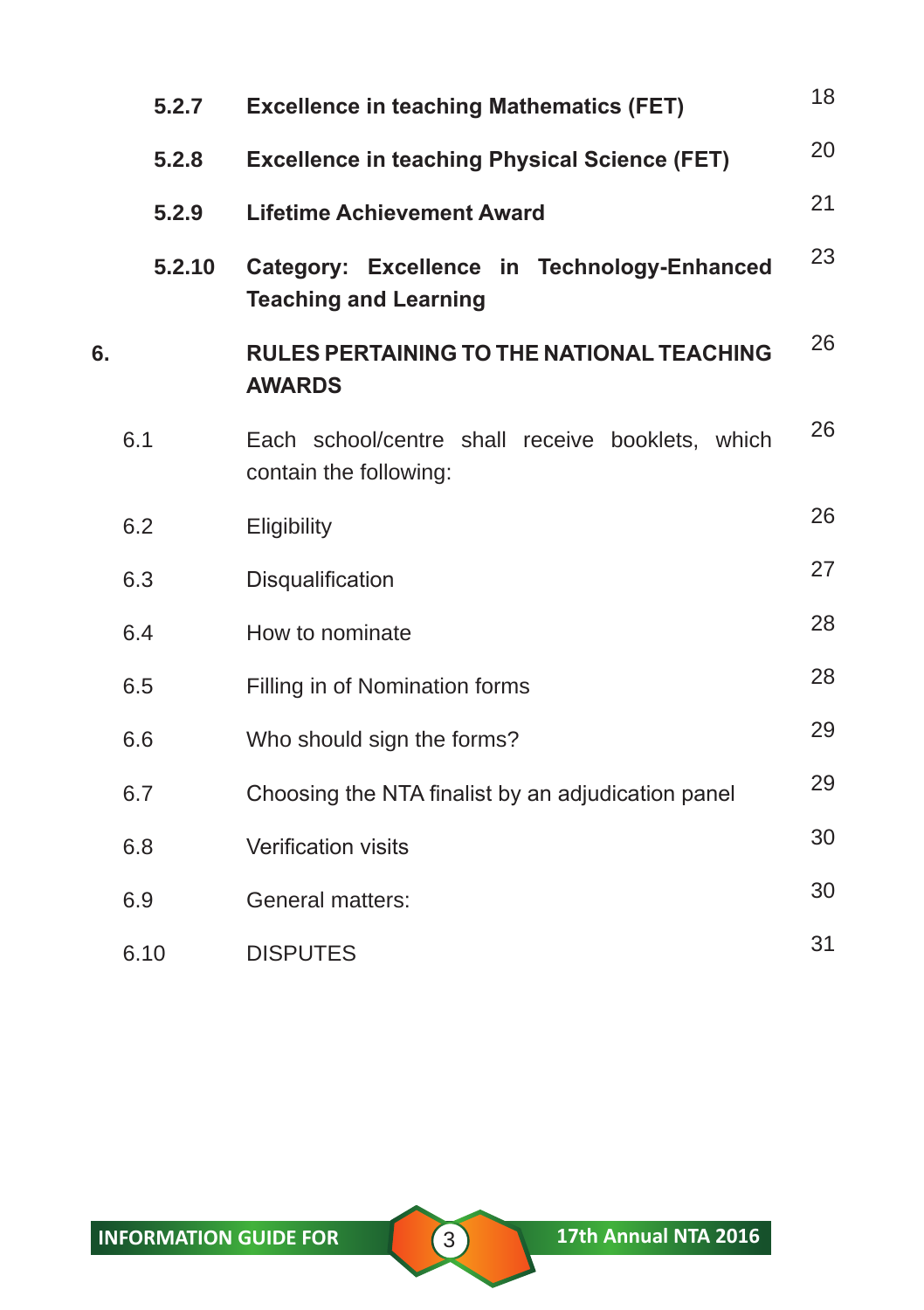|    | 5.2.7  | <b>Excellence in teaching Mathematics (FET)</b>                             | 18 |
|----|--------|-----------------------------------------------------------------------------|----|
|    | 5.2.8  | <b>Excellence in teaching Physical Science (FET)</b>                        | 20 |
|    | 5.2.9  | <b>Lifetime Achievement Award</b>                                           | 21 |
|    | 5.2.10 | Category: Excellence in Technology-Enhanced<br><b>Teaching and Learning</b> | 23 |
| 6. |        | <b>RULES PERTAINING TO THE NATIONAL TEACHING</b><br><b>AWARDS</b>           | 26 |
|    | 6.1    | Each school/centre shall receive booklets, which<br>contain the following:  | 26 |
|    | 6.2    | Eligibility                                                                 | 26 |
|    | 6.3    | Disqualification                                                            | 27 |
|    | 6.4    | How to nominate                                                             | 28 |
|    | 6.5    | Filling in of Nomination forms                                              | 28 |
|    | 6.6    | Who should sign the forms?                                                  | 29 |
|    | 6.7    | Choosing the NTA finalist by an adjudication panel                          | 29 |
|    | 6.8    | Verification visits                                                         | 30 |
|    | 6.9    | General matters:                                                            | 30 |
|    | 6.10   | <b>DISPUTES</b>                                                             | 31 |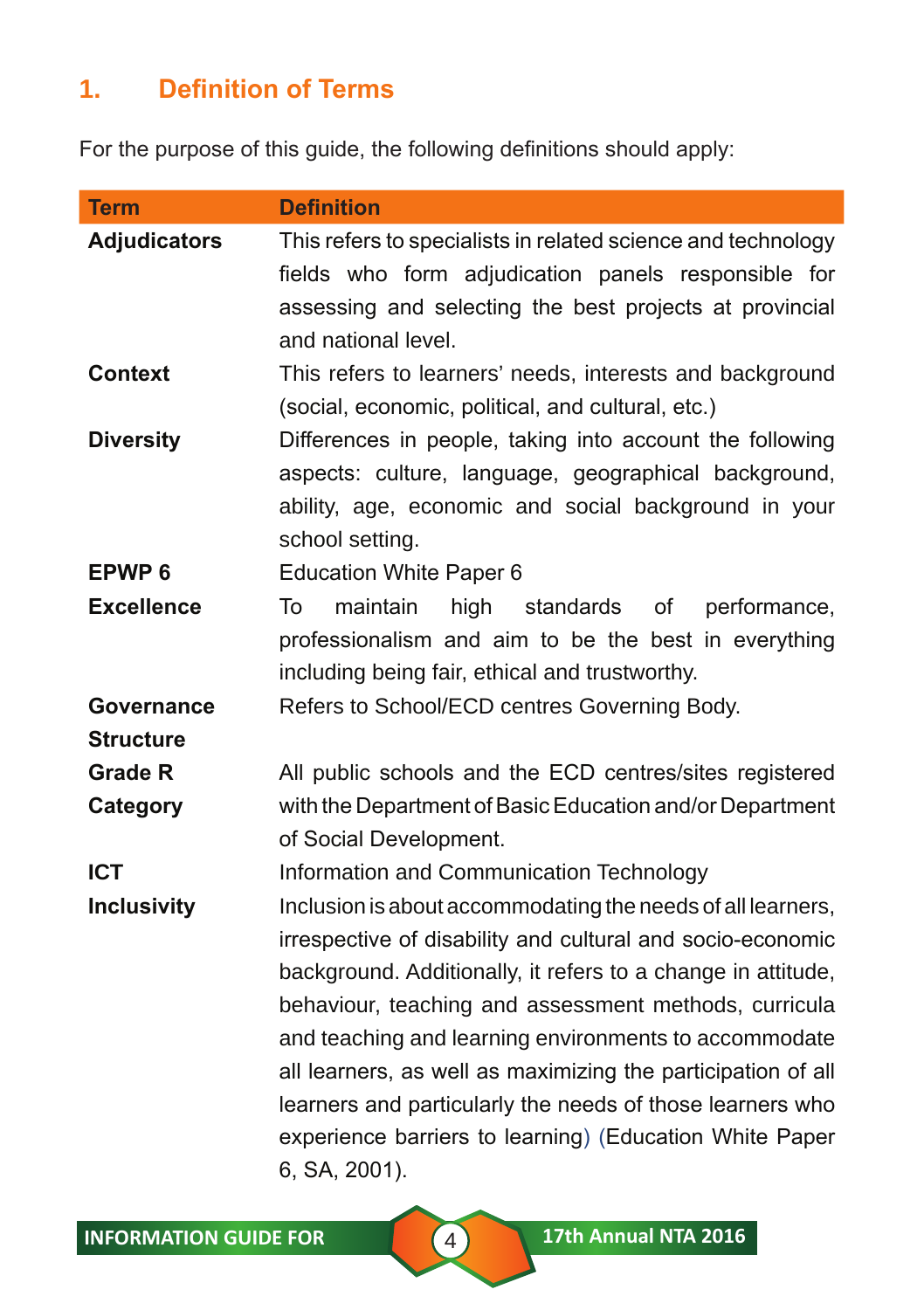# **1. Definition of Terms**

For the purpose of this guide, the following definitions should apply:

| <b>Term</b>         | <b>Definition</b>                                                                                                                                                                           |
|---------------------|---------------------------------------------------------------------------------------------------------------------------------------------------------------------------------------------|
| <b>Adjudicators</b> | This refers to specialists in related science and technology<br>fields who form adjudication panels responsible for                                                                         |
|                     | assessing and selecting the best projects at provincial<br>and national level.                                                                                                              |
| <b>Context</b>      | This refers to learners' needs, interests and background<br>(social, economic, political, and cultural, etc.)                                                                               |
| <b>Diversity</b>    | Differences in people, taking into account the following<br>aspects: culture, language, geographical background,<br>ability, age, economic and social background in your<br>school setting. |
| EPWP <sub>6</sub>   | <b>Education White Paper 6</b>                                                                                                                                                              |
| <b>Excellence</b>   | maintain<br>high<br>standards<br>performance,<br>To<br>οf<br>professionalism and aim to be the best in everything<br>including being fair, ethical and trustworthy.                         |
| Governance          | Refers to School/ECD centres Governing Body.                                                                                                                                                |
| <b>Structure</b>    |                                                                                                                                                                                             |
| <b>Grade R</b>      | All public schools and the ECD centres/sites registered                                                                                                                                     |
| Category            | with the Department of Basic Education and/or Department<br>of Social Development.                                                                                                          |
| <b>ICT</b>          | Information and Communication Technology                                                                                                                                                    |
| <b>Inclusivity</b>  | Inclusion is about accommodating the needs of all learners,                                                                                                                                 |
|                     | irrespective of disability and cultural and socio-economic<br>background. Additionally, it refers to a change in attitude,                                                                  |
|                     | behaviour, teaching and assessment methods, curricula                                                                                                                                       |
|                     | and teaching and learning environments to accommodate                                                                                                                                       |
|                     | all learners, as well as maximizing the participation of all                                                                                                                                |
|                     | learners and particularly the needs of those learners who                                                                                                                                   |
|                     | experience barriers to learning) (Education White Paper                                                                                                                                     |
|                     | 6, SA, 2001).                                                                                                                                                                               |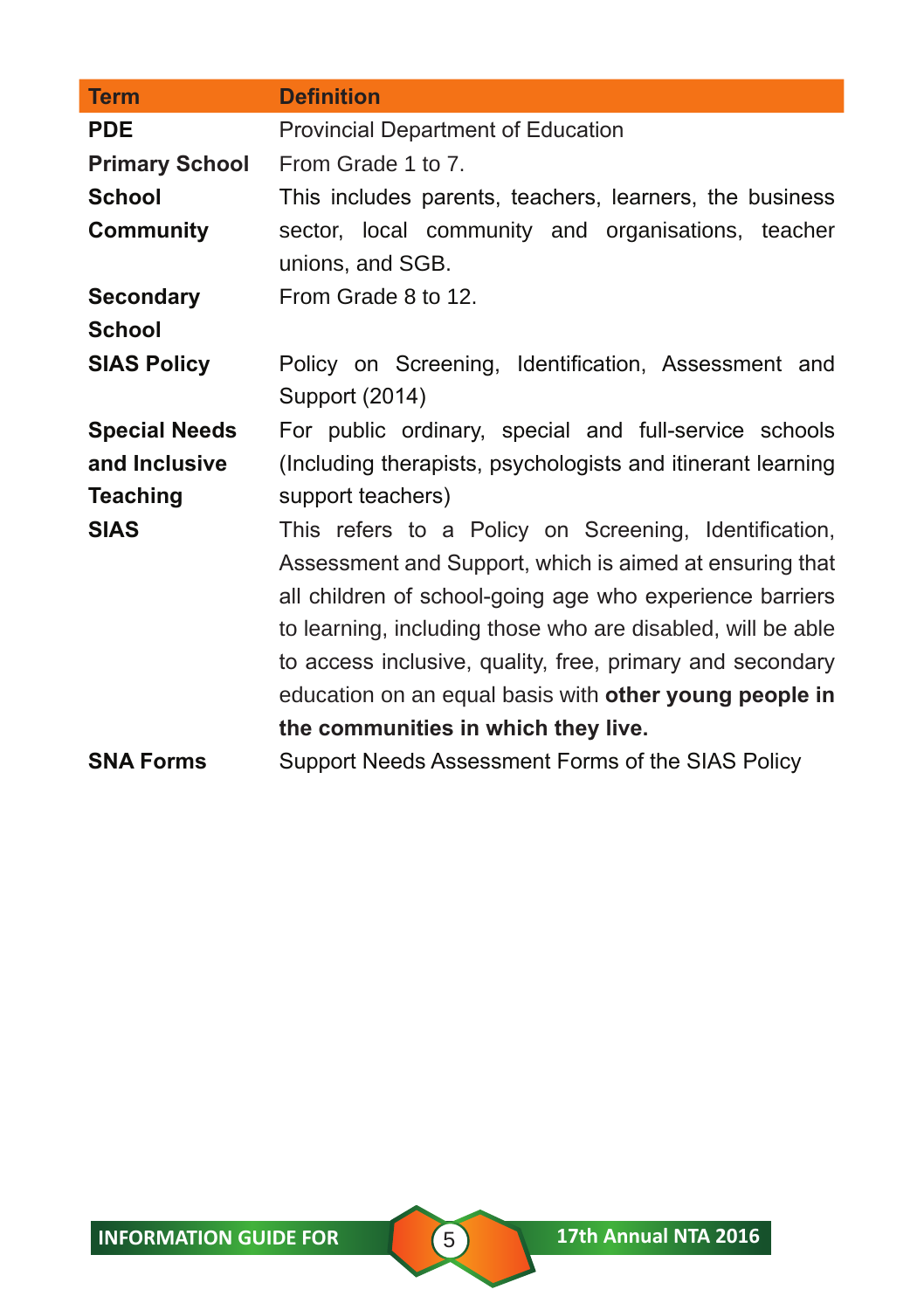| <b>Term</b>           | <b>Definition</b>                                           |  |
|-----------------------|-------------------------------------------------------------|--|
| <b>PDE</b>            | Provincial Department of Education                          |  |
| <b>Primary School</b> | From Grade 1 to 7.                                          |  |
| <b>School</b>         | This includes parents, teachers, learners, the business     |  |
| <b>Community</b>      | sector, local community and organisations, teacher          |  |
|                       | unions, and SGB.                                            |  |
| <b>Secondary</b>      | From Grade 8 to 12.                                         |  |
| <b>School</b>         |                                                             |  |
| <b>SIAS Policy</b>    | Policy on Screening, Identification, Assessment and         |  |
|                       | Support (2014)                                              |  |
| <b>Special Needs</b>  | For public ordinary, special and full-service schools       |  |
| and Inclusive         | (Including therapists, psychologists and itinerant learning |  |
| <b>Teaching</b>       | support teachers)                                           |  |
| <b>SIAS</b>           | This refers to a Policy on Screening, Identification,       |  |
|                       | Assessment and Support, which is aimed at ensuring that     |  |
|                       | all children of school-going age who experience barriers    |  |
|                       | to learning, including those who are disabled, will be able |  |
|                       | to access inclusive, quality, free, primary and secondary   |  |
|                       | education on an equal basis with other young people in      |  |
|                       | the communities in which they live.                         |  |
| <b>SNA Forms</b>      | Support Needs Assessment Forms of the SIAS Policy           |  |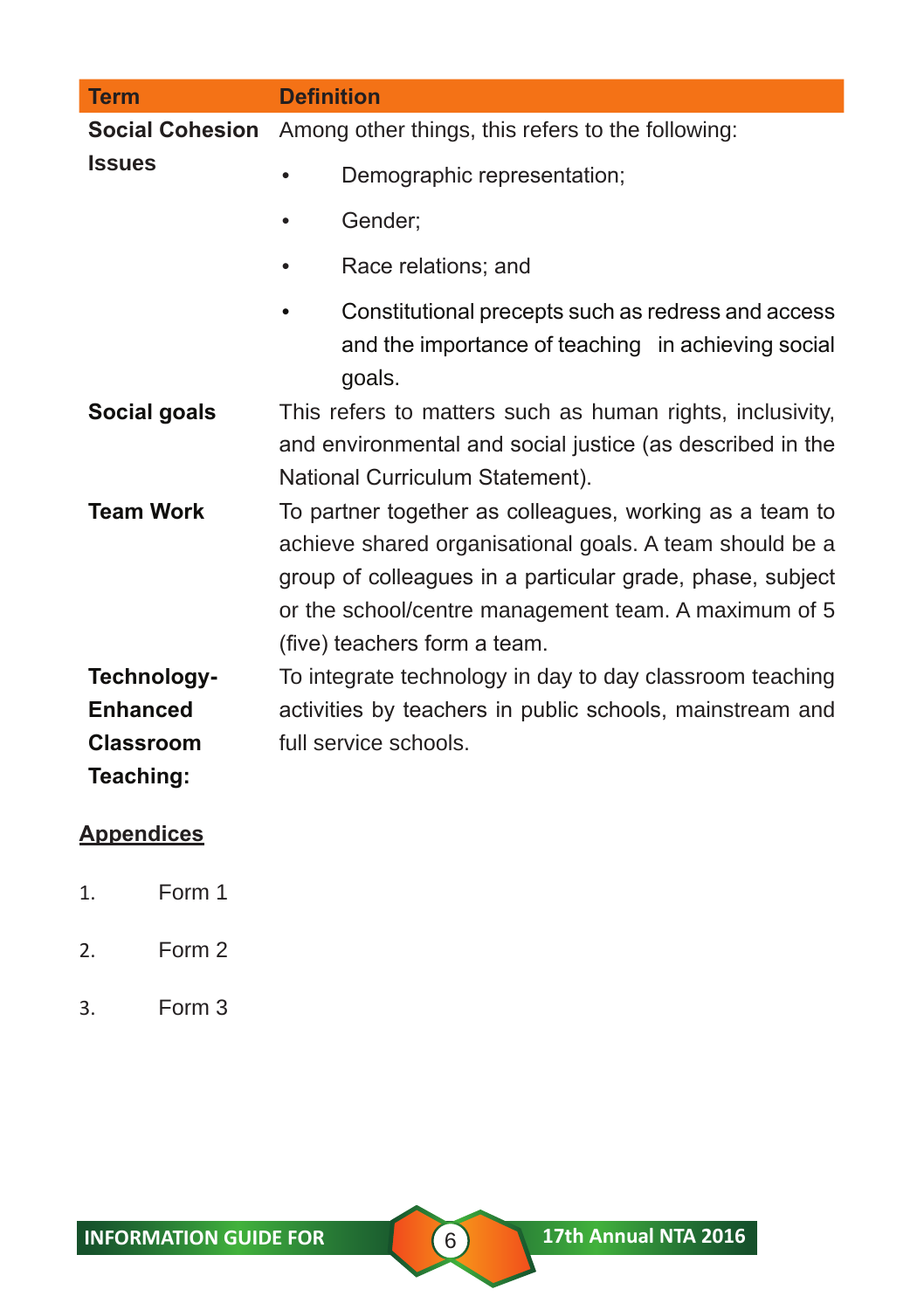| <b>Term</b>            | <b>Definition</b>                                                                                                                                                                                                                                                       |
|------------------------|-------------------------------------------------------------------------------------------------------------------------------------------------------------------------------------------------------------------------------------------------------------------------|
| <b>Social Cohesion</b> | Among other things, this refers to the following:                                                                                                                                                                                                                       |
| <b>Issues</b>          | Demographic representation;<br>$\bullet$                                                                                                                                                                                                                                |
|                        | Gender;<br>$\bullet$                                                                                                                                                                                                                                                    |
|                        | Race relations; and<br>٠                                                                                                                                                                                                                                                |
|                        | Constitutional precepts such as redress and access<br>٠<br>and the importance of teaching in achieving social<br>goals.                                                                                                                                                 |
| Social goals           | This refers to matters such as human rights, inclusivity,<br>and environmental and social justice (as described in the<br>National Curriculum Statement).                                                                                                               |
| <b>Team Work</b>       | To partner together as colleagues, working as a team to<br>achieve shared organisational goals. A team should be a<br>group of colleagues in a particular grade, phase, subject<br>or the school/centre management team. A maximum of 5<br>(five) teachers form a team. |
| Technology-            | To integrate technology in day to day classroom teaching                                                                                                                                                                                                                |
| <b>Enhanced</b>        | activities by teachers in public schools, mainstream and                                                                                                                                                                                                                |
| <b>Classroom</b>       | full service schools.                                                                                                                                                                                                                                                   |
| Teaching:              |                                                                                                                                                                                                                                                                         |
| <b>Appendices</b>      |                                                                                                                                                                                                                                                                         |

- 1. Form 1
- 2. Form 2
- 3. Form 3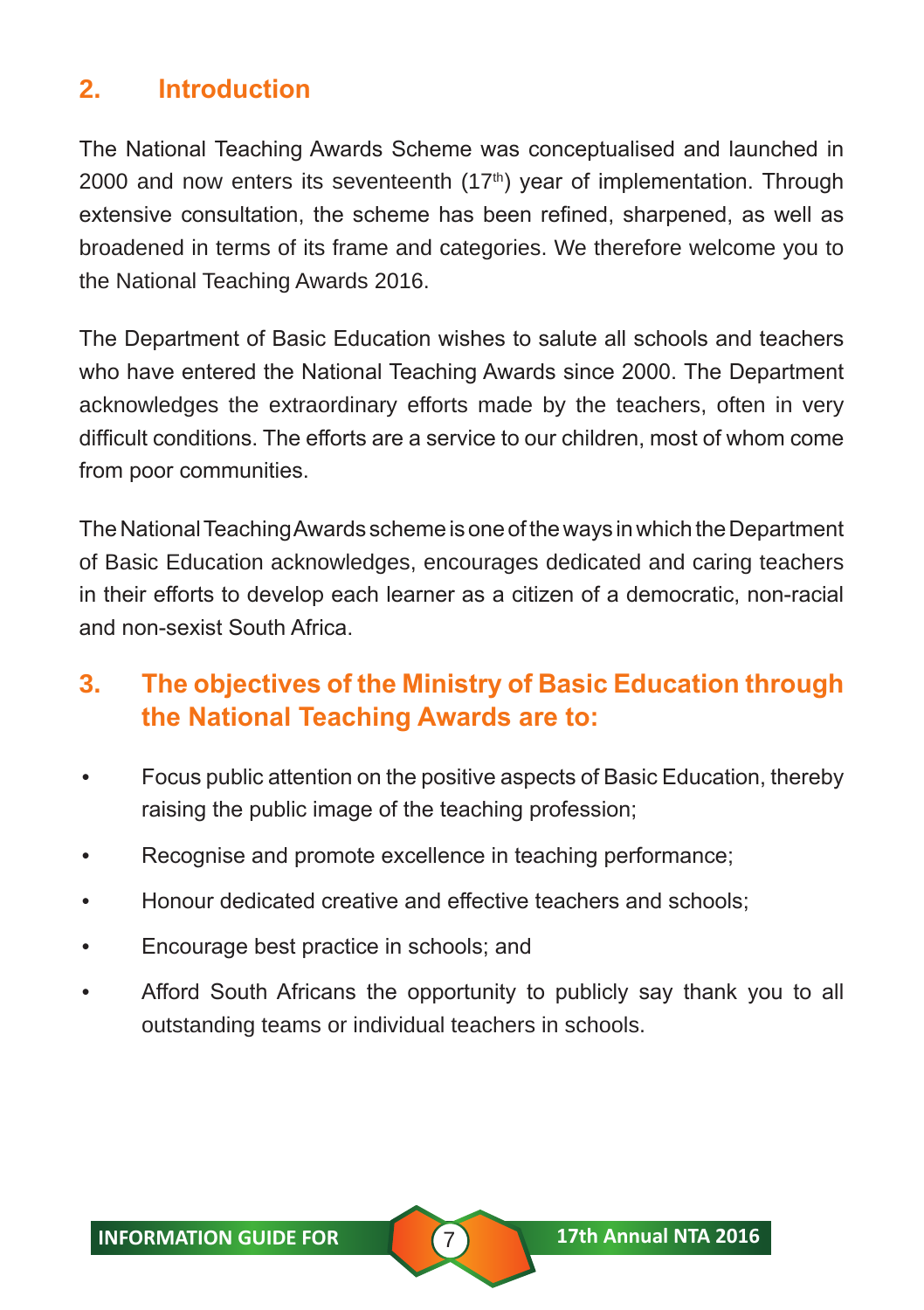# **2. Introduction**

The National Teaching Awards Scheme was conceptualised and launched in 2000 and now enters its seventeenth  $(17<sup>th</sup>)$  year of implementation. Through extensive consultation, the scheme has been refined, sharpened, as well as broadened in terms of its frame and categories. We therefore welcome you to the National Teaching Awards 2016.

The Department of Basic Education wishes to salute all schools and teachers who have entered the National Teaching Awards since 2000. The Department acknowledges the extraordinary efforts made by the teachers, often in very difficult conditions. The efforts are a service to our children, most of whom come from poor communities.

The National Teaching Awards scheme is one of the ways in which the Department of Basic Education acknowledges, encourages dedicated and caring teachers in their efforts to develop each learner as a citizen of a democratic, non-racial and non-sexist South Africa.

# **3. The objectives of the Ministry of Basic Education through the National Teaching Awards are to:**

- Focus public attention on the positive aspects of Basic Education, thereby raising the public image of the teaching profession;
- Recognise and promote excellence in teaching performance;
- Honour dedicated creative and effective teachers and schools;
- Encourage best practice in schools; and
- Afford South Africans the opportunity to publicly say thank you to all outstanding teams or individual teachers in schools.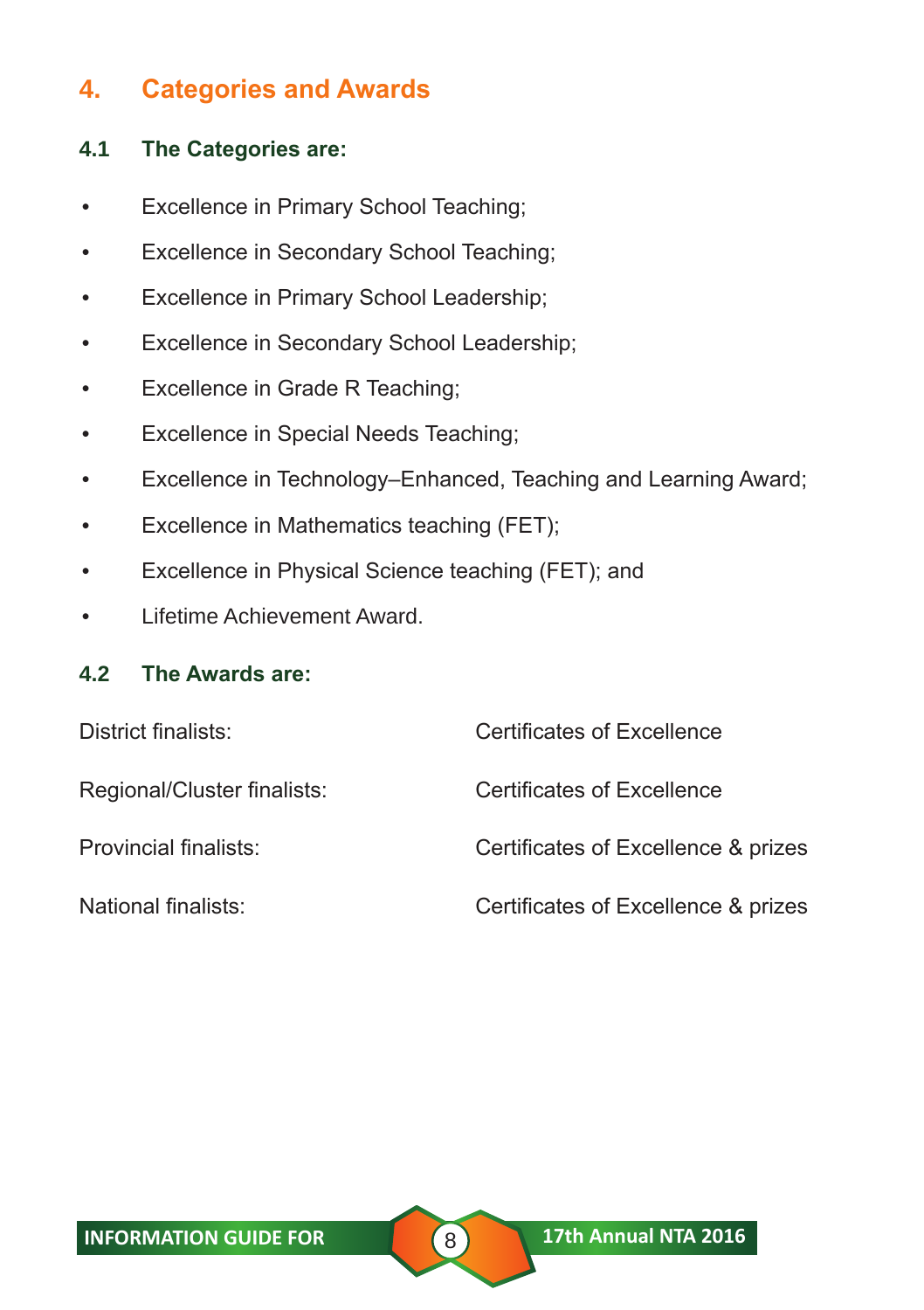# **4. Categories and Awards**

#### **4.1 The Categories are:**

- Excellence in Primary School Teaching;
- Excellence in Secondary School Teaching;
- Excellence in Primary School Leadership;
- Excellence in Secondary School Leadership;
- Excellence in Grade R Teaching;
- Excellence in Special Needs Teaching;
- Excellence in Technology–Enhanced, Teaching and Learning Award;
- Excellence in Mathematics teaching (FET);
- Excellence in Physical Science teaching (FET); and
- Lifetime Achievement Award.

#### **4.2 The Awards are:**

| District finalists:         | <b>Certificates of Excellence</b>   |
|-----------------------------|-------------------------------------|
| Regional/Cluster finalists: | Certificates of Excellence          |
| Provincial finalists:       | Certificates of Excellence & prizes |
| National finalists:         | Certificates of Excellence & prizes |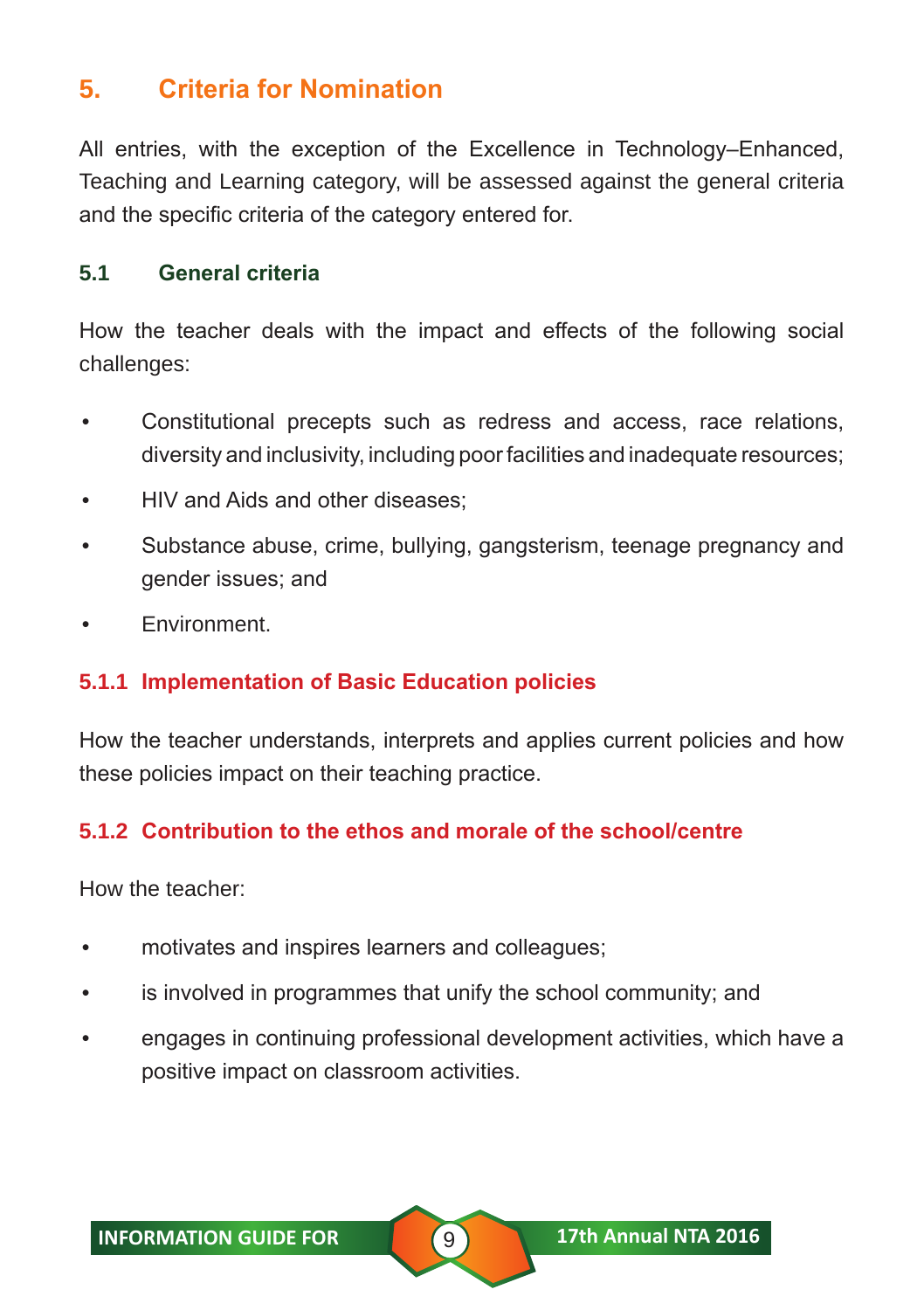# **5. Criteria for Nomination**

All entries, with the exception of the Excellence in Technology–Enhanced, Teaching and Learning category, will be assessed against the general criteria and the specific criteria of the category entered for.

#### **5.1 General criteria**

How the teacher deals with the impact and effects of the following social challenges:

- Constitutional precepts such as redress and access, race relations, diversity and inclusivity, including poor facilities and inadequate resources;
- HIV and Aids and other diseases;
- Substance abuse, crime, bullying, gangsterism, teenage pregnancy and gender issues; and
- Environment.

#### **5.1.1 Implementation of Basic Education policies**

How the teacher understands, interprets and applies current policies and how these policies impact on their teaching practice.

#### **5.1.2 Contribution to the ethos and morale of the school/centre**

How the teacher:

- motivates and inspires learners and colleagues;
- is involved in programmes that unify the school community; and
- engages in continuing professional development activities, which have a positive impact on classroom activities.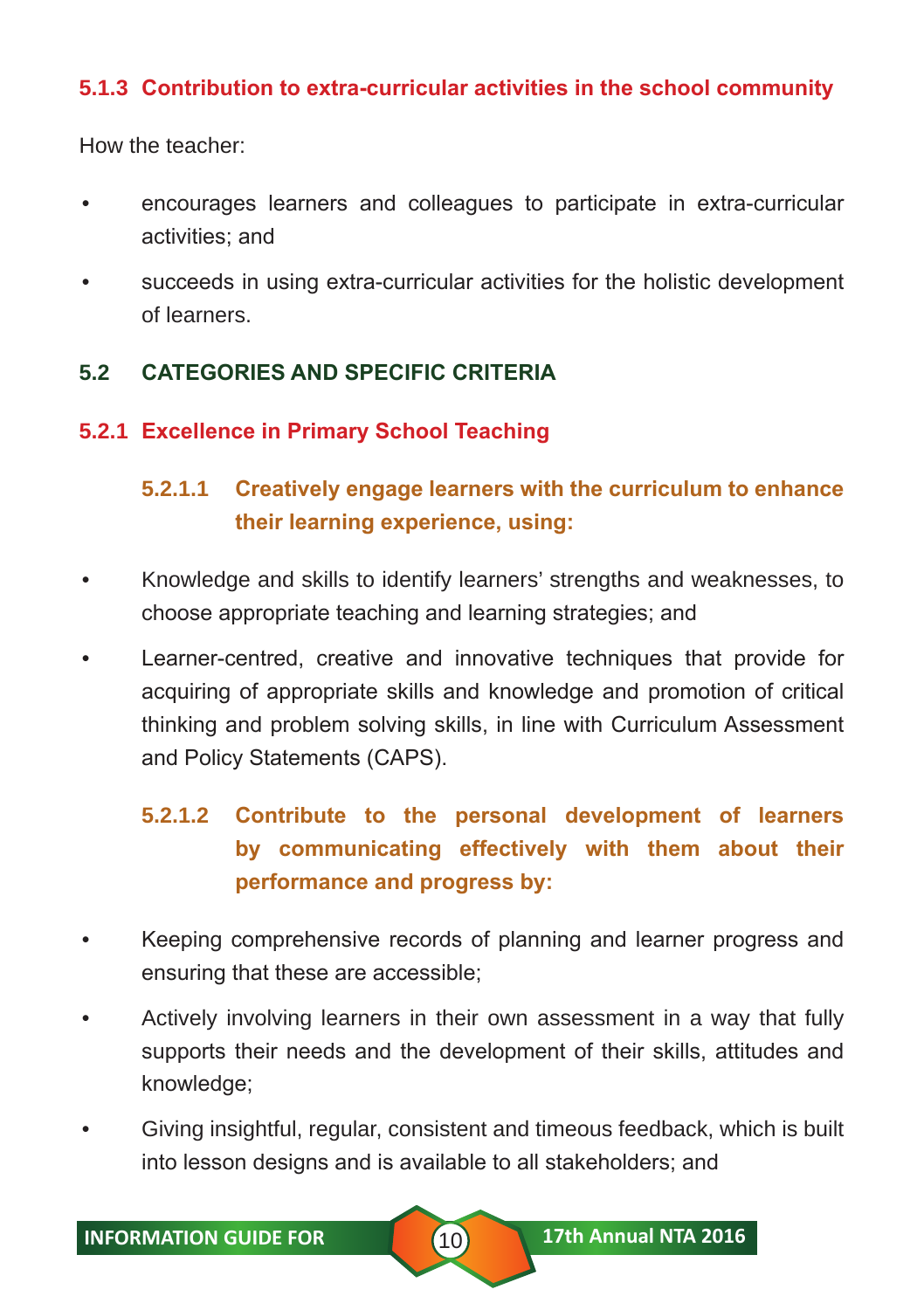#### **5.1.3 Contribution to extra-curricular activities in the school community**

How the teacher:

- encourages learners and colleagues to participate in extra-curricular activities; and
- succeeds in using extra-curricular activities for the holistic development of learners.

#### **5.2 CATEGORIES AND SPECIFIC CRITERIA**

#### **5.2.1 Excellence in Primary School Teaching**

# **5.2.1.1 Creatively engage learners with the curriculum to enhance their learning experience, using:**

- Knowledge and skills to identify learners' strengths and weaknesses, to choose appropriate teaching and learning strategies; and
- Learner-centred, creative and innovative techniques that provide for acquiring of appropriate skills and knowledge and promotion of critical thinking and problem solving skills, in line with Curriculum Assessment and Policy Statements (CAPS).

# **5.2.1.2 Contribute to the personal development of learners by communicating effectively with them about their performance and progress by:**

- Keeping comprehensive records of planning and learner progress and ensuring that these are accessible;
- Actively involving learners in their own assessment in a way that fully supports their needs and the development of their skills, attitudes and knowledge;
- Giving insightful, regular, consistent and timeous feedback, which is built into lesson designs and is available to all stakeholders; and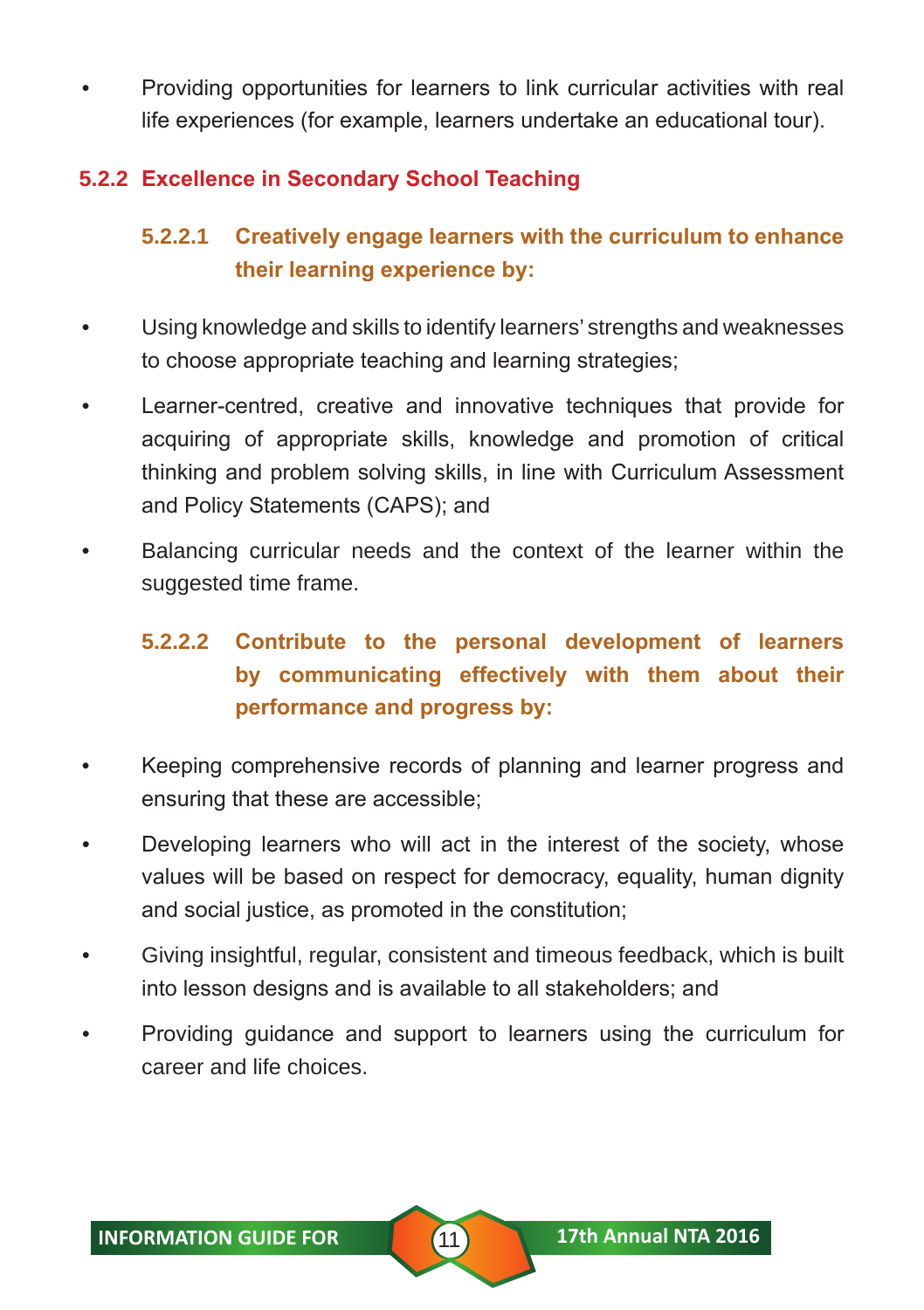• Providing opportunities for learners to link curricular activities with real life experiences (for example, learners undertake an educational tour).

## **5.2.2 Excellence in Secondary School Teaching**

# **5.2.2.1 Creatively engage learners with the curriculum to enhance their learning experience by:**

- Using knowledge and skills to identify learners' strengths and weaknesses to choose appropriate teaching and learning strategies;
- Learner-centred, creative and innovative techniques that provide for acquiring of appropriate skills, knowledge and promotion of critical thinking and problem solving skills, in line with Curriculum Assessment and Policy Statements (CAPS); and
- Balancing curricular needs and the context of the learner within the suggested time frame.

# **5.2.2.2 Contribute to the personal development of learners by communicating effectively with them about their performance and progress by:**

- Keeping comprehensive records of planning and learner progress and ensuring that these are accessible;
- Developing learners who will act in the interest of the society, whose values will be based on respect for democracy, equality, human dignity and social justice, as promoted in the constitution;
- Giving insightful, regular, consistent and timeous feedback, which is built into lesson designs and is available to all stakeholders; and
- Providing guidance and support to learners using the curriculum for career and life choices.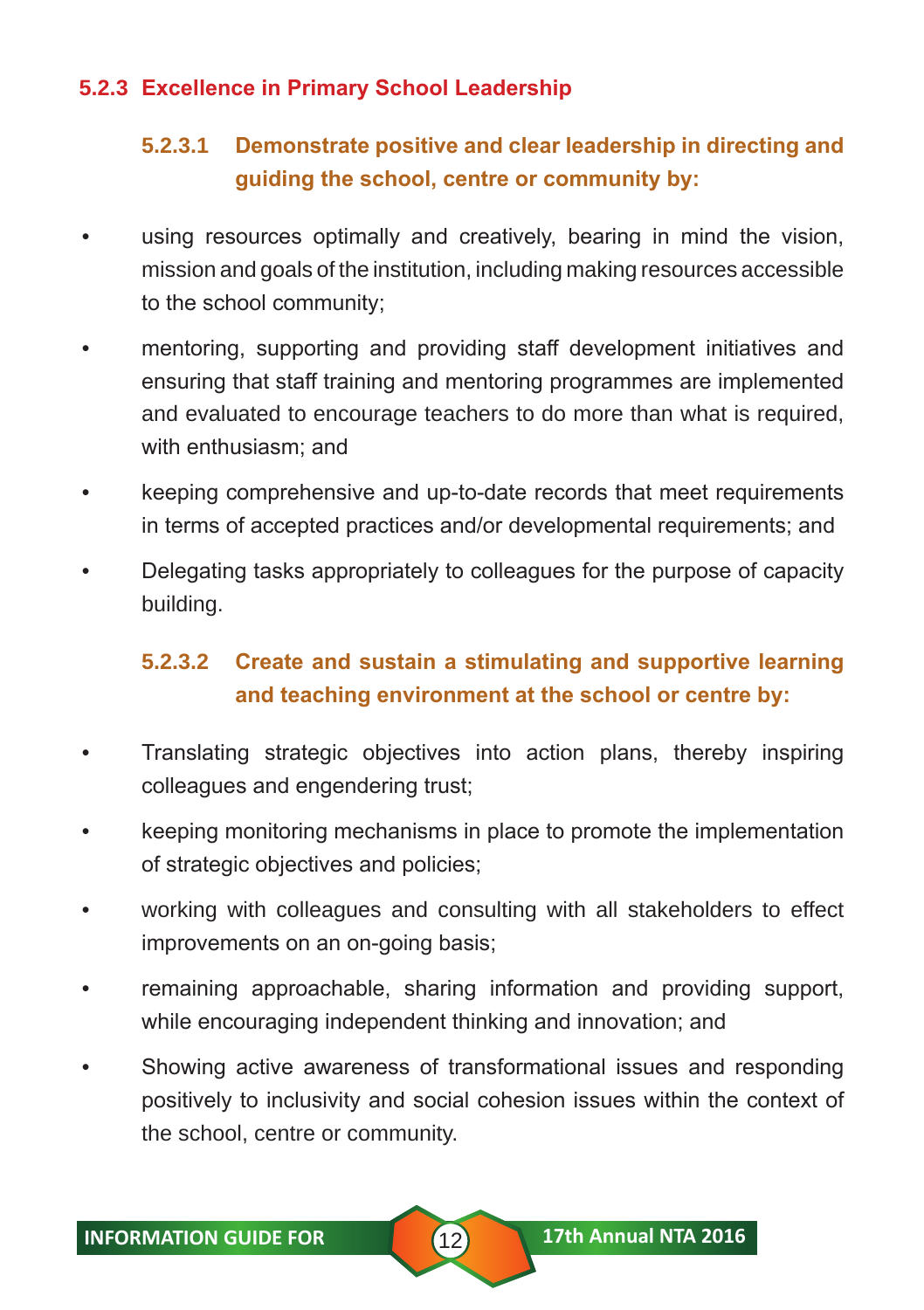#### **5.2.3 Excellence in Primary School Leadership**

## **5.2.3.1 Demonstrate positive and clear leadership in directing and guiding the school, centre or community by:**

- using resources optimally and creatively, bearing in mind the vision, mission and goals of the institution, including making resources accessible to the school community;
- mentoring, supporting and providing staff development initiatives and ensuring that staff training and mentoring programmes are implemented and evaluated to encourage teachers to do more than what is required, with enthusiasm; and
- keeping comprehensive and up-to-date records that meet requirements in terms of accepted practices and/or developmental requirements; and
- Delegating tasks appropriately to colleagues for the purpose of capacity building.

# **5.2.3.2 Create and sustain a stimulating and supportive learning and teaching environment at the school or centre by:**

- Translating strategic objectives into action plans, thereby inspiring colleagues and engendering trust;
- keeping monitoring mechanisms in place to promote the implementation of strategic objectives and policies;
- working with colleagues and consulting with all stakeholders to effect improvements on an on-going basis;
- remaining approachable, sharing information and providing support, while encouraging independent thinking and innovation; and
- Showing active awareness of transformational issues and responding positively to inclusivity and social cohesion issues within the context of the school, centre or community.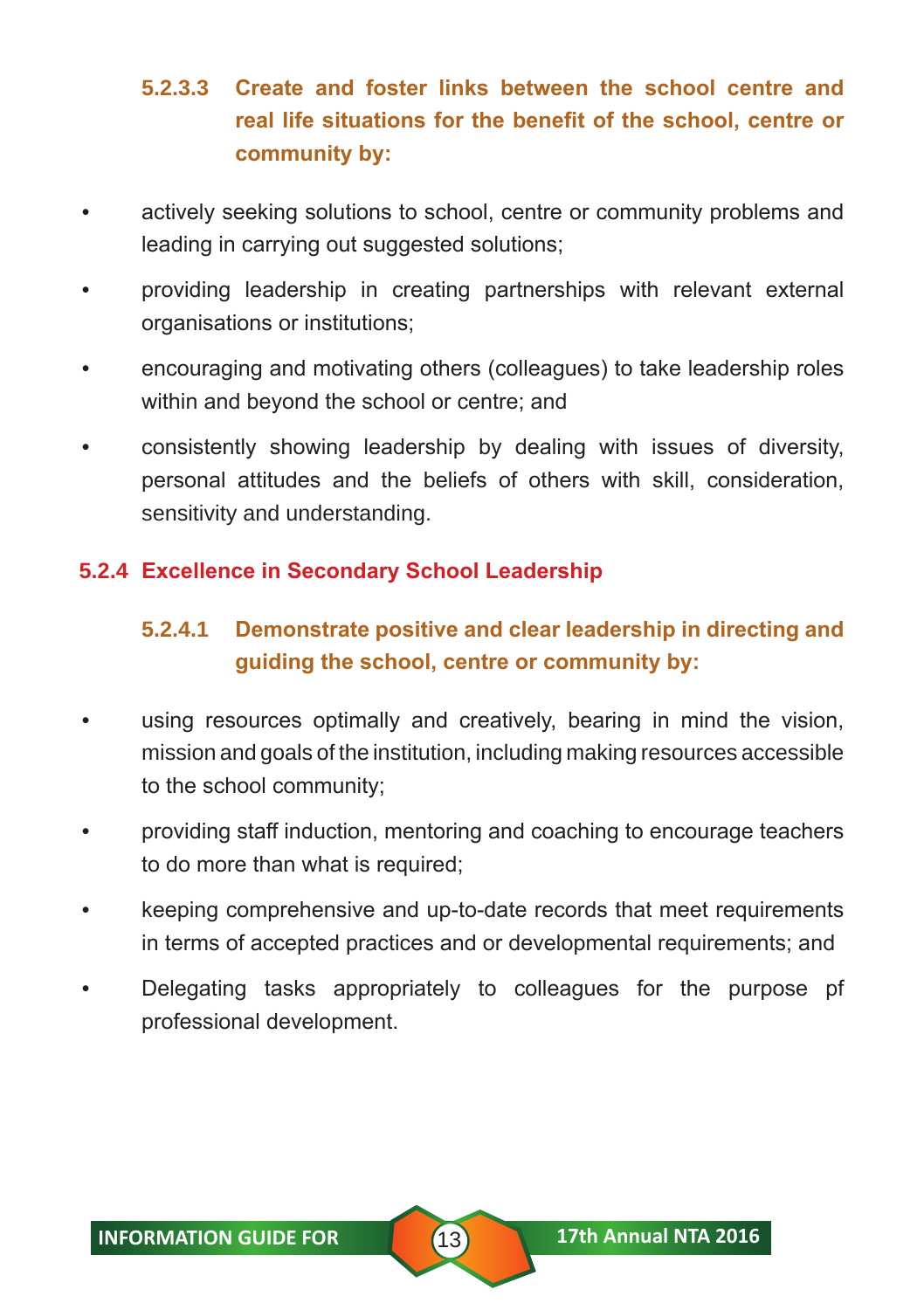# **5.2.3.3 Create and foster links between the school centre and real life situations for the benefit of the school, centre or community by:**

- actively seeking solutions to school, centre or community problems and leading in carrying out suggested solutions;
- providing leadership in creating partnerships with relevant external organisations or institutions;
- encouraging and motivating others (colleagues) to take leadership roles within and beyond the school or centre; and
- consistently showing leadership by dealing with issues of diversity, personal attitudes and the beliefs of others with skill, consideration, sensitivity and understanding.

#### **5.2.4 Excellence in Secondary School Leadership**

# **5.2.4.1 Demonstrate positive and clear leadership in directing and guiding the school, centre or community by:**

- using resources optimally and creatively, bearing in mind the vision, mission and goals of the institution, including making resources accessible to the school community;
- providing staff induction, mentoring and coaching to encourage teachers to do more than what is required;
- keeping comprehensive and up-to-date records that meet requirements in terms of accepted practices and or developmental requirements; and
- Delegating tasks appropriately to colleagues for the purpose pf professional development.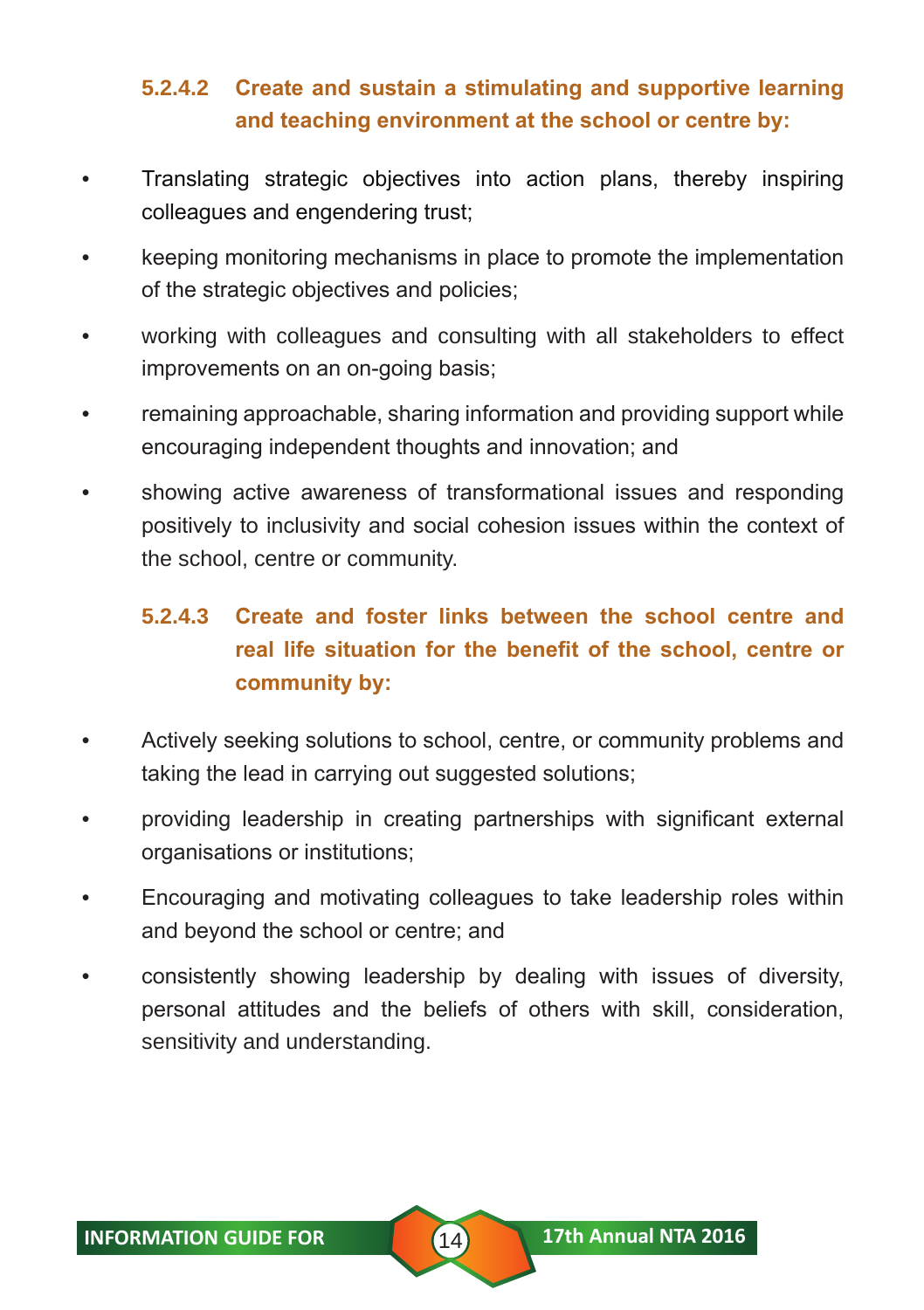# **5.2.4.2 Create and sustain a stimulating and supportive learning and teaching environment at the school or centre by:**

- Translating strategic objectives into action plans, thereby inspiring colleagues and engendering trust;
- keeping monitoring mechanisms in place to promote the implementation of the strategic objectives and policies;
- working with colleagues and consulting with all stakeholders to effect improvements on an on-going basis;
- remaining approachable, sharing information and providing support while encouraging independent thoughts and innovation; and
- showing active awareness of transformational issues and responding positively to inclusivity and social cohesion issues within the context of the school, centre or community.

# **5.2.4.3 Create and foster links between the school centre and real life situation for the benefit of the school, centre or community by:**

- Actively seeking solutions to school, centre, or community problems and taking the lead in carrying out suggested solutions;
- providing leadership in creating partnerships with significant external organisations or institutions;
- Encouraging and motivating colleagues to take leadership roles within and beyond the school or centre; and
- consistently showing leadership by dealing with issues of diversity, personal attitudes and the beliefs of others with skill, consideration, sensitivity and understanding.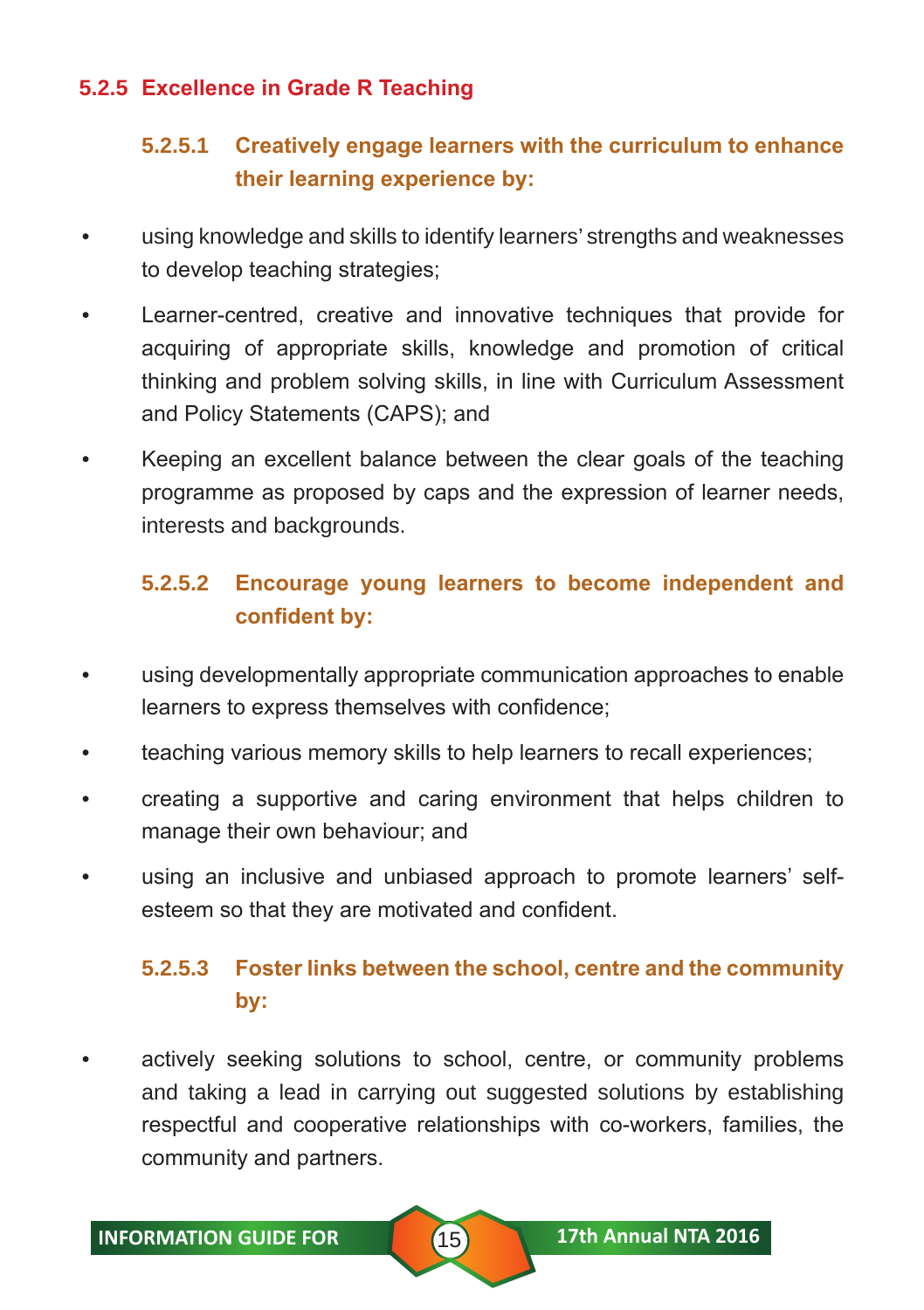#### **5.2.5 Excellence in Grade R Teaching**

# **5.2.5.1 Creatively engage learners with the curriculum to enhance their learning experience by:**

- using knowledge and skills to identify learners' strengths and weaknesses to develop teaching strategies;
- Learner-centred, creative and innovative techniques that provide for acquiring of appropriate skills, knowledge and promotion of critical thinking and problem solving skills, in line with Curriculum Assessment and Policy Statements (CAPS); and
- Keeping an excellent balance between the clear goals of the teaching programme as proposed by caps and the expression of learner needs, interests and backgrounds.

# **5.2.5.2 Encourage young learners to become independent and confident by:**

- using developmentally appropriate communication approaches to enable learners to express themselves with confidence;
- teaching various memory skills to help learners to recall experiences;
- creating a supportive and caring environment that helps children to manage their own behaviour; and
- using an inclusive and unbiased approach to promote learners' selfesteem so that they are motivated and confident.

# **5.2.5.3 Foster links between the school, centre and the community by:**

actively seeking solutions to school, centre, or community problems and taking a lead in carrying out suggested solutions by establishing respectful and cooperative relationships with co-workers, families, the community and partners.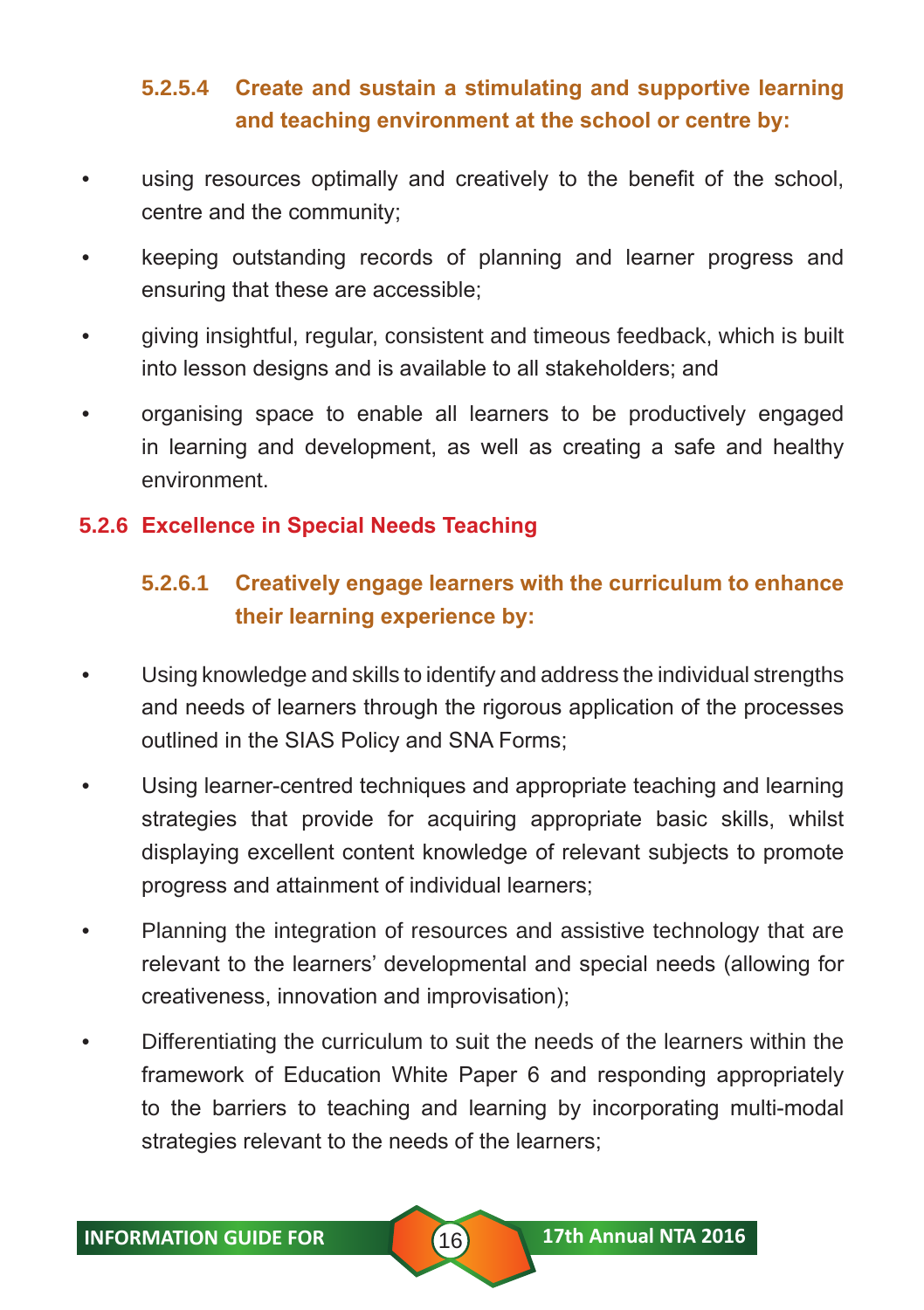# **5.2.5.4 Create and sustain a stimulating and supportive learning and teaching environment at the school or centre by:**

- using resources optimally and creatively to the benefit of the school, centre and the community;
- keeping outstanding records of planning and learner progress and ensuring that these are accessible;
- giving insightful, regular, consistent and timeous feedback, which is built into lesson designs and is available to all stakeholders; and
- organising space to enable all learners to be productively engaged in learning and development, as well as creating a safe and healthy environment.

#### **5.2.6 Excellence in Special Needs Teaching**

## **5.2.6.1 Creatively engage learners with the curriculum to enhance their learning experience by:**

- Using knowledge and skills to identify and address the individual strengths and needs of learners through the rigorous application of the processes outlined in the SIAS Policy and SNA Forms;
- Using learner-centred techniques and appropriate teaching and learning strategies that provide for acquiring appropriate basic skills, whilst displaying excellent content knowledge of relevant subjects to promote progress and attainment of individual learners;
- Planning the integration of resources and assistive technology that are relevant to the learners' developmental and special needs (allowing for creativeness, innovation and improvisation);
- Differentiating the curriculum to suit the needs of the learners within the framework of Education White Paper 6 and responding appropriately to the barriers to teaching and learning by incorporating multi-modal strategies relevant to the needs of the learners;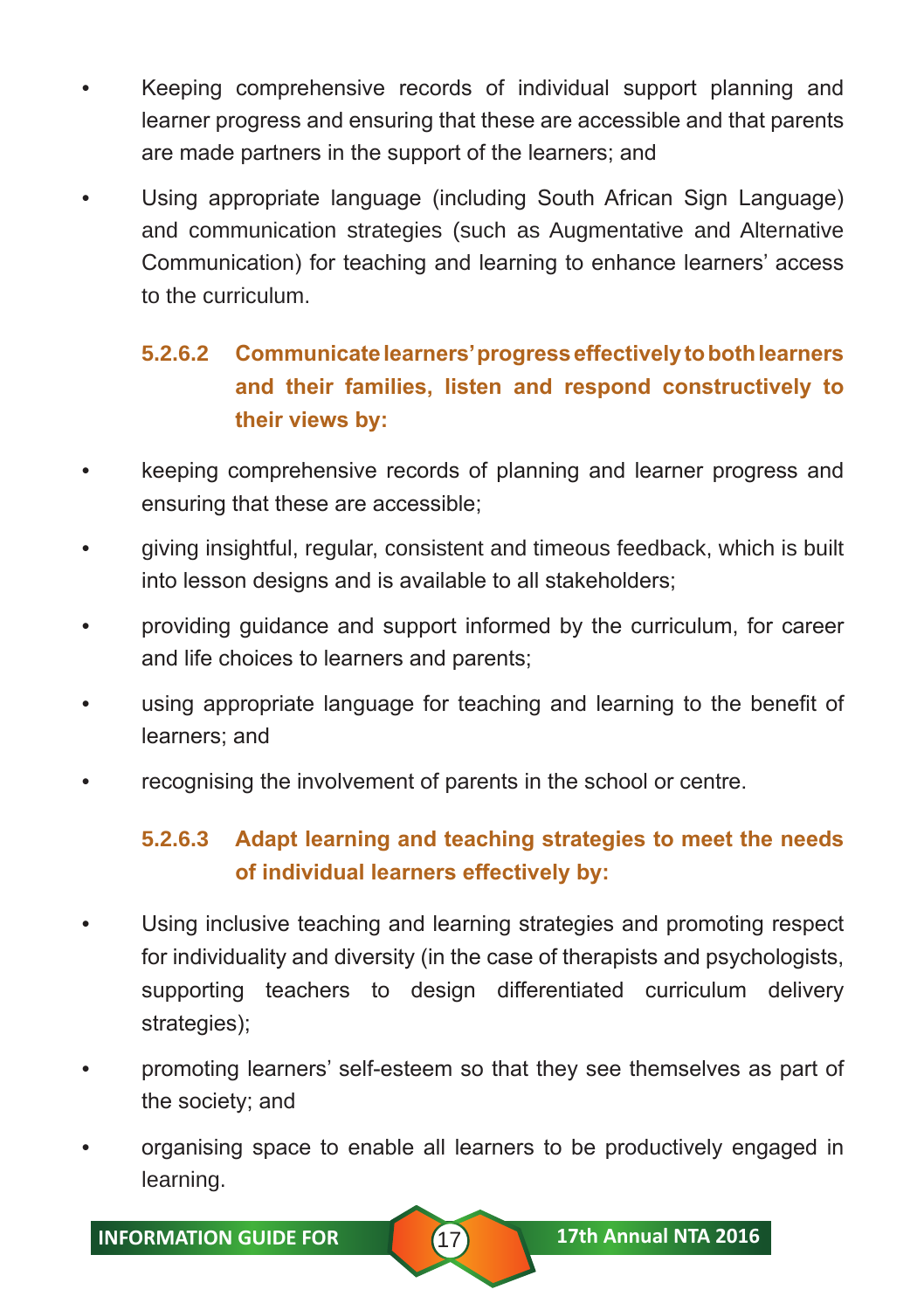- Keeping comprehensive records of individual support planning and learner progress and ensuring that these are accessible and that parents are made partners in the support of the learners; and
- Using appropriate language (including South African Sign Language) and communication strategies (such as Augmentative and Alternative Communication) for teaching and learning to enhance learners' access to the curriculum.

# **5.2.6.2 Communicate learners' progress effectively to both learners and their families, listen and respond constructively to their views by:**

- keeping comprehensive records of planning and learner progress and ensuring that these are accessible;
- giving insightful, regular, consistent and timeous feedback, which is built into lesson designs and is available to all stakeholders;
- providing guidance and support informed by the curriculum, for career and life choices to learners and parents;
- using appropriate language for teaching and learning to the benefit of learners; and
- recognising the involvement of parents in the school or centre.

# **5.2.6.3 Adapt learning and teaching strategies to meet the needs of individual learners effectively by:**

- Using inclusive teaching and learning strategies and promoting respect for individuality and diversity (in the case of therapists and psychologists, supporting teachers to design differentiated curriculum delivery strategies);
- promoting learners' self-esteem so that they see themselves as part of the society; and
- organising space to enable all learners to be productively engaged in learning.

**INFORMATION GUIDE FOR 17th Annual NTA 2016**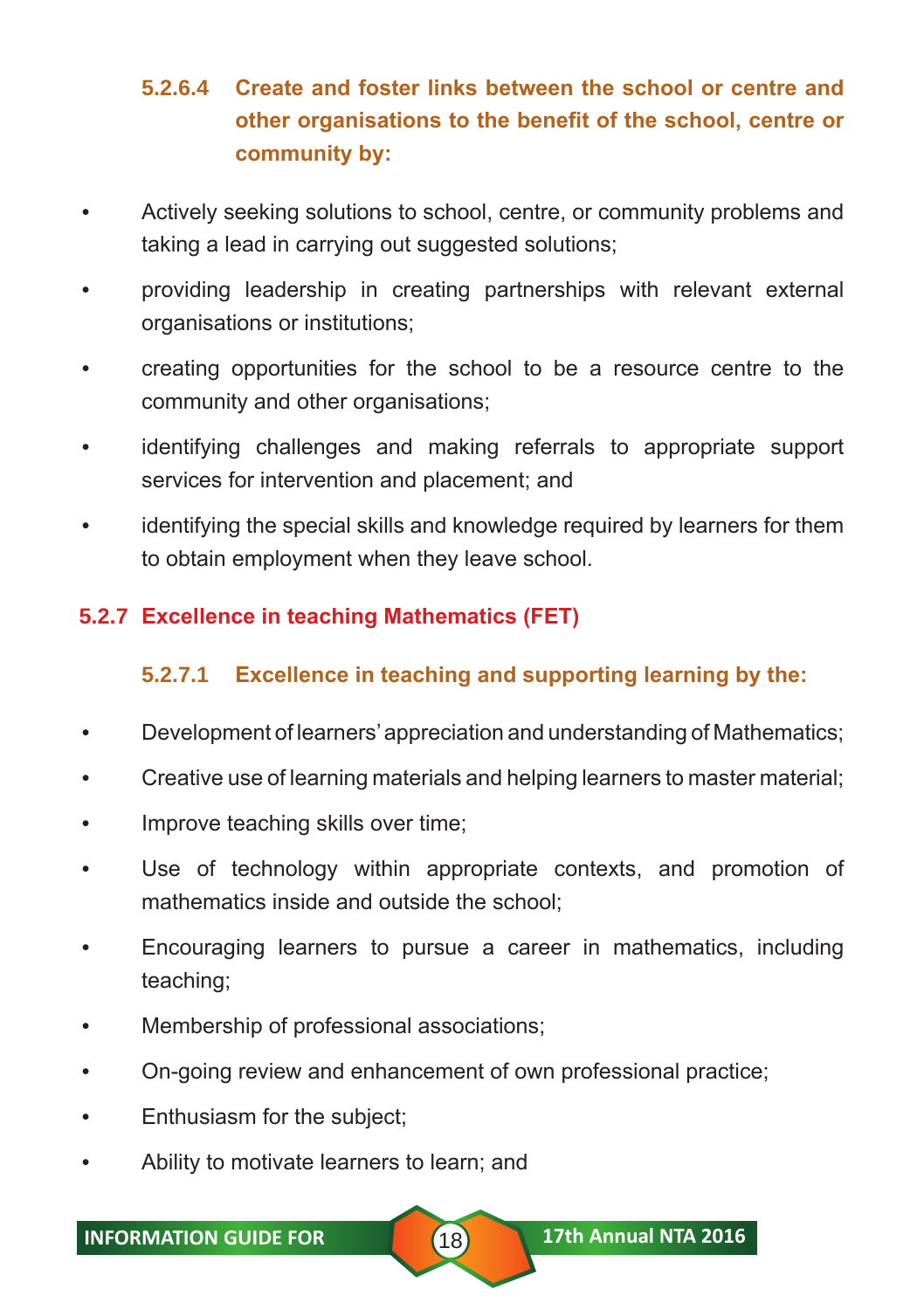# **5.2.6.4 Create and foster links between the school or centre and other organisations to the benefit of the school, centre or community by:**

- Actively seeking solutions to school, centre, or community problems and taking a lead in carrying out suggested solutions;
- providing leadership in creating partnerships with relevant external organisations or institutions;
- creating opportunities for the school to be a resource centre to the community and other organisations;
- identifying challenges and making referrals to appropriate support services for intervention and placement; and
- identifying the special skills and knowledge required by learners for them to obtain employment when they leave school.

# **5.2.7 Excellence in teaching Mathematics (FET)**

#### **5.2.7.1 Excellence in teaching and supporting learning by the:**

- Development of learners' appreciation and understanding of Mathematics;
- Creative use of learning materials and helping learners to master material;
- Improve teaching skills over time;
- Use of technology within appropriate contexts, and promotion of mathematics inside and outside the school;
- Encouraging learners to pursue a career in mathematics, including teaching;
- Membership of professional associations;
- On-going review and enhancement of own professional practice;
- Enthusiasm for the subject;
- Ability to motivate learners to learn; and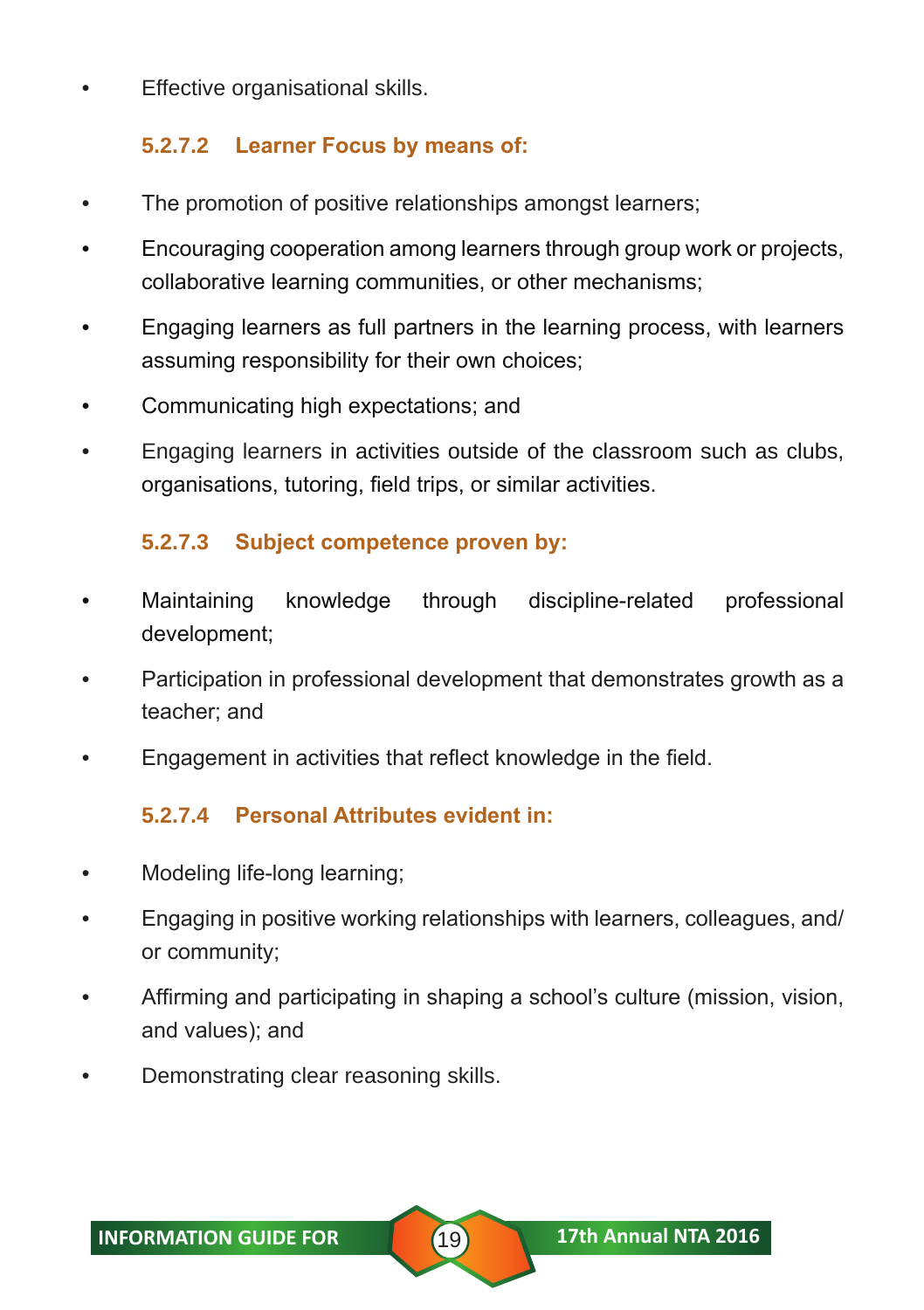• Effective organisational skills.

#### **5.2.7.2 Learner Focus by means of:**

- The promotion of positive relationships amongst learners;
- Encouraging cooperation among learners through group work or projects, collaborative learning communities, or other mechanisms;
- Engaging learners as full partners in the learning process, with learners assuming responsibility for their own choices;
- Communicating high expectations; and
- Engaging learners in activities outside of the classroom such as clubs, organisations, tutoring, field trips, or similar activities.

#### **5.2.7.3 Subject competence proven by:**

- Maintaining knowledge through discipline-related professional development;
- Participation in professional development that demonstrates growth as a teacher; and
- Engagement in activities that reflect knowledge in the field.

#### **5.2.7.4 Personal Attributes evident in:**

- Modeling life-long learning;
- Engaging in positive working relationships with learners, colleagues, and/ or community;
- Affirming and participating in shaping a school's culture (mission, vision, and values); and
- Demonstrating clear reasoning skills.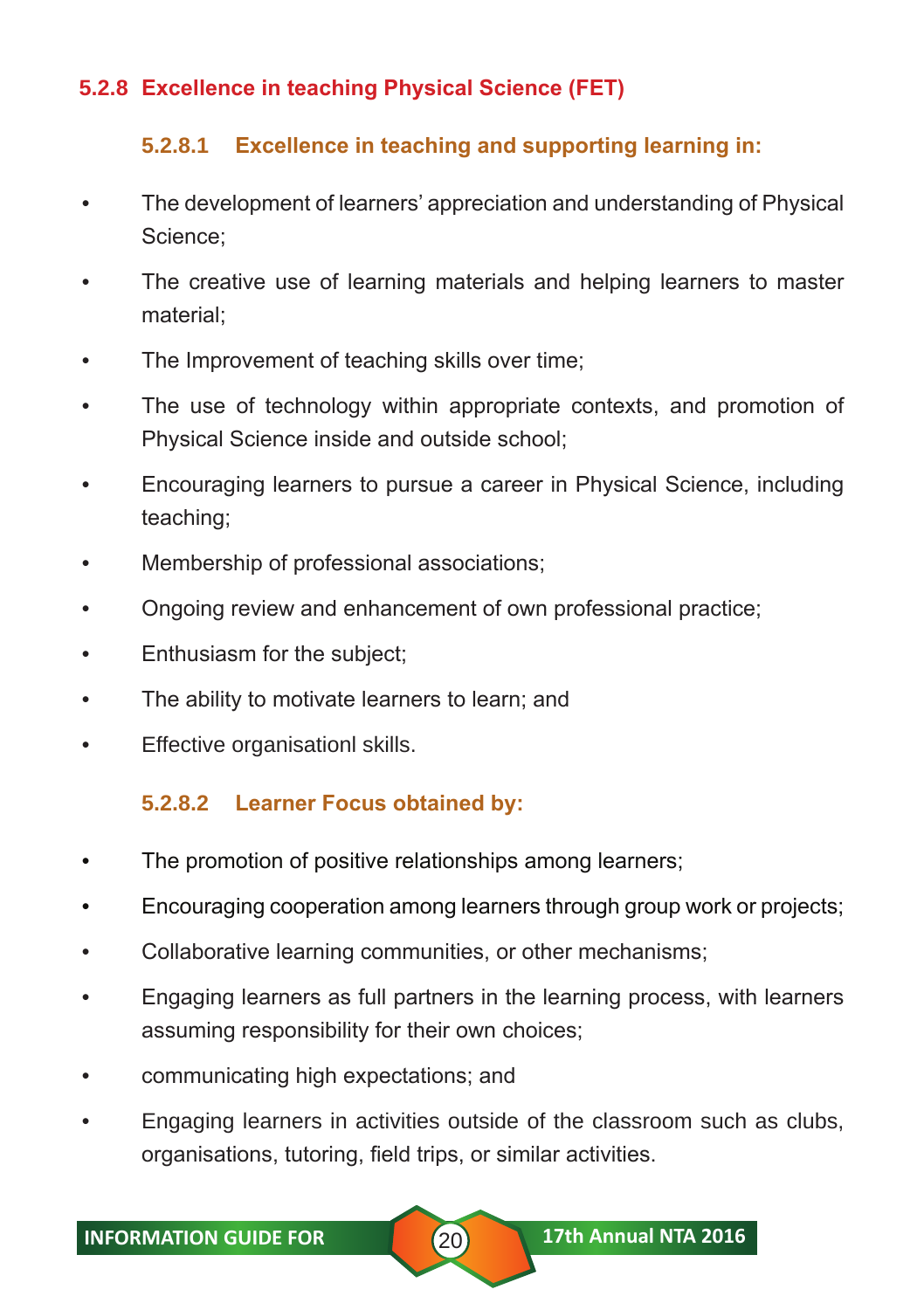#### **5.2.8 Excellence in teaching Physical Science (FET)**

#### **5.2.8.1 Excellence in teaching and supporting learning in:**

- The development of learners' appreciation and understanding of Physical Science;
- The creative use of learning materials and helping learners to master material;
- The Improvement of teaching skills over time;
- The use of technology within appropriate contexts, and promotion of Physical Science inside and outside school;
- Encouraging learners to pursue a career in Physical Science, including teaching;
- Membership of professional associations;
- Ongoing review and enhancement of own professional practice;
- Enthusiasm for the subject;
- The ability to motivate learners to learn; and
- Effective organisationl skills.

#### **5.2.8.2 Learner Focus obtained by:**

- The promotion of positive relationships among learners;
- Encouraging cooperation among learners through group work or projects;
- Collaborative learning communities, or other mechanisms;
- Engaging learners as full partners in the learning process, with learners assuming responsibility for their own choices;
- communicating high expectations; and
- Engaging learners in activities outside of the classroom such as clubs, organisations, tutoring, field trips, or similar activities.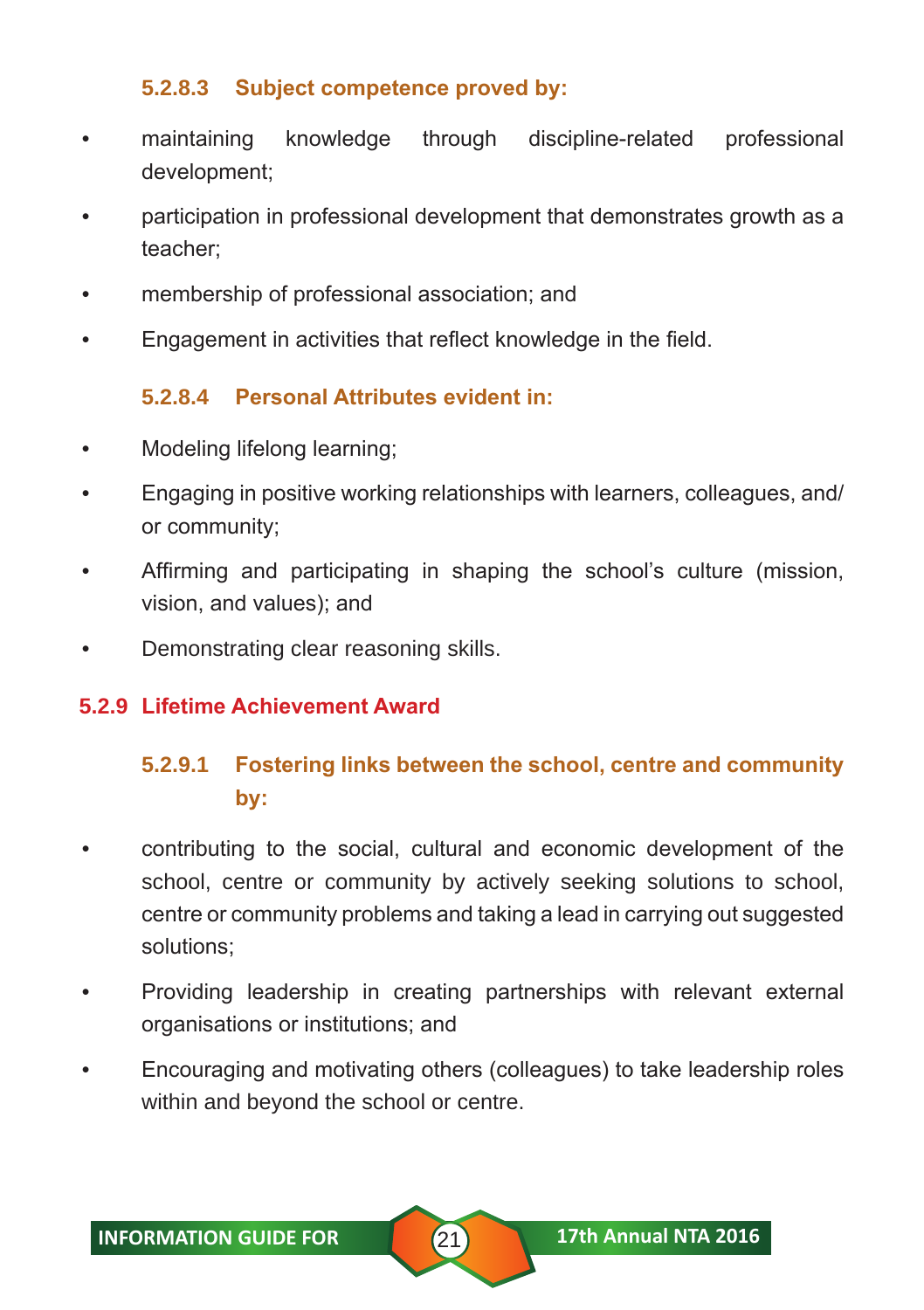#### **5.2.8.3 Subject competence proved by:**

- maintaining knowledge through discipline-related professional development;
- participation in professional development that demonstrates growth as a teacher;
- membership of professional association; and
- Engagement in activities that reflect knowledge in the field.

#### **5.2.8.4 Personal Attributes evident in:**

- Modeling lifelong learning;
- Engaging in positive working relationships with learners, colleagues, and/ or community;
- Affirming and participating in shaping the school's culture (mission, vision, and values); and
- Demonstrating clear reasoning skills.

#### **5.2.9 Lifetime Achievement Award**

# **5.2.9.1 Fostering links between the school, centre and community by:**

- contributing to the social, cultural and economic development of the school, centre or community by actively seeking solutions to school, centre or community problems and taking a lead in carrying out suggested solutions;
- Providing leadership in creating partnerships with relevant external organisations or institutions; and
- Encouraging and motivating others (colleagues) to take leadership roles within and beyond the school or centre.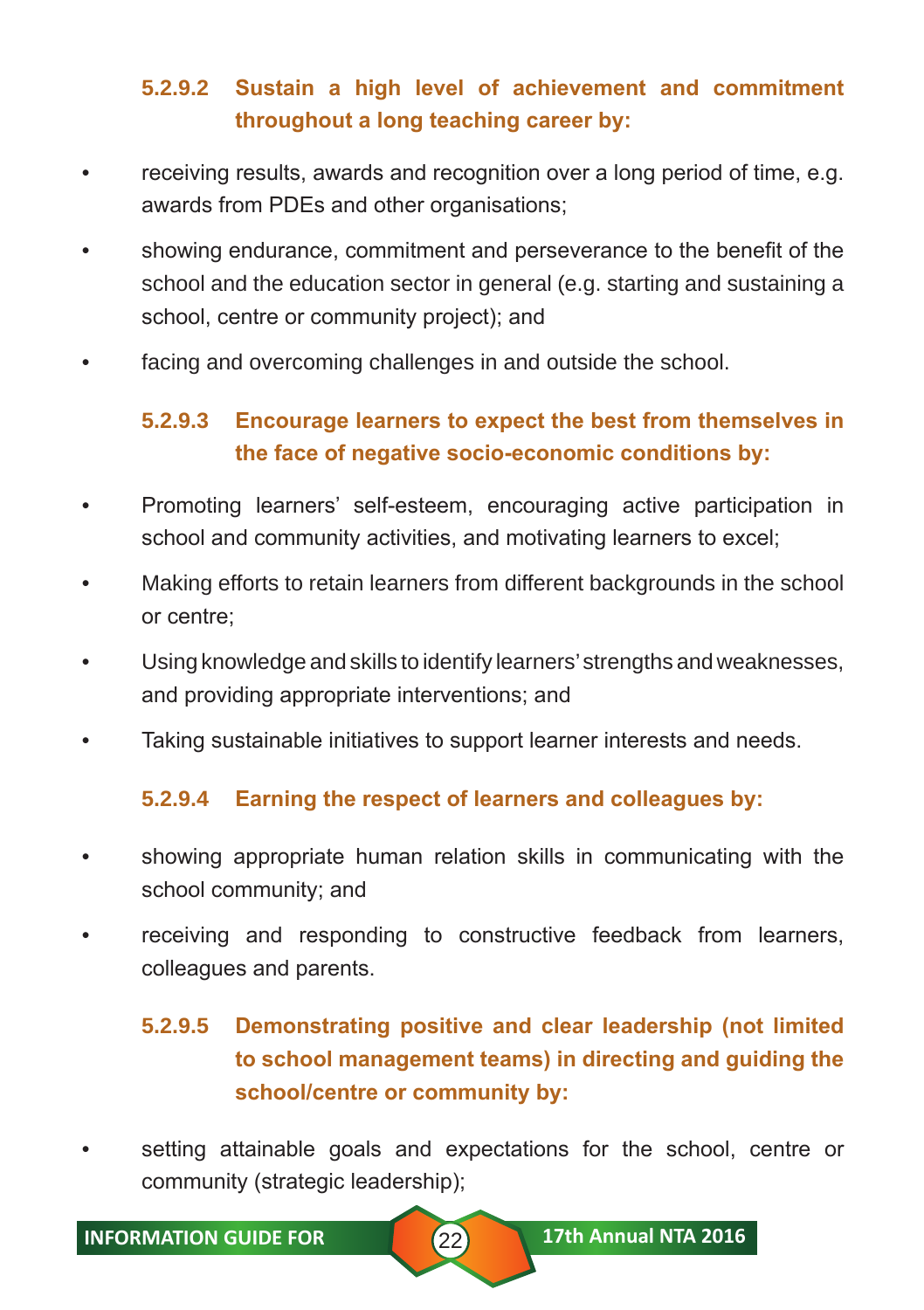# **5.2.9.2 Sustain a high level of achievement and commitment throughout a long teaching career by:**

- receiving results, awards and recognition over a long period of time, e.g. awards from PDEs and other organisations;
- showing endurance, commitment and perseverance to the benefit of the school and the education sector in general (e.g. starting and sustaining a school, centre or community project); and
- facing and overcoming challenges in and outside the school.

# **5.2.9.3 Encourage learners to expect the best from themselves in the face of negative socio-economic conditions by:**

- Promoting learners' self-esteem, encouraging active participation in school and community activities, and motivating learners to excel;
- Making efforts to retain learners from different backgrounds in the school or centre;
- Using knowledge and skills to identify learners' strengths and weaknesses, and providing appropriate interventions; and
- Taking sustainable initiatives to support learner interests and needs.

#### **5.2.9.4 Earning the respect of learners and colleagues by:**

- showing appropriate human relation skills in communicating with the school community; and
- receiving and responding to constructive feedback from learners, colleagues and parents.

# **5.2.9.5 Demonstrating positive and clear leadership (not limited to school management teams) in directing and guiding the school/centre or community by:**

• setting attainable goals and expectations for the school, centre or community (strategic leadership);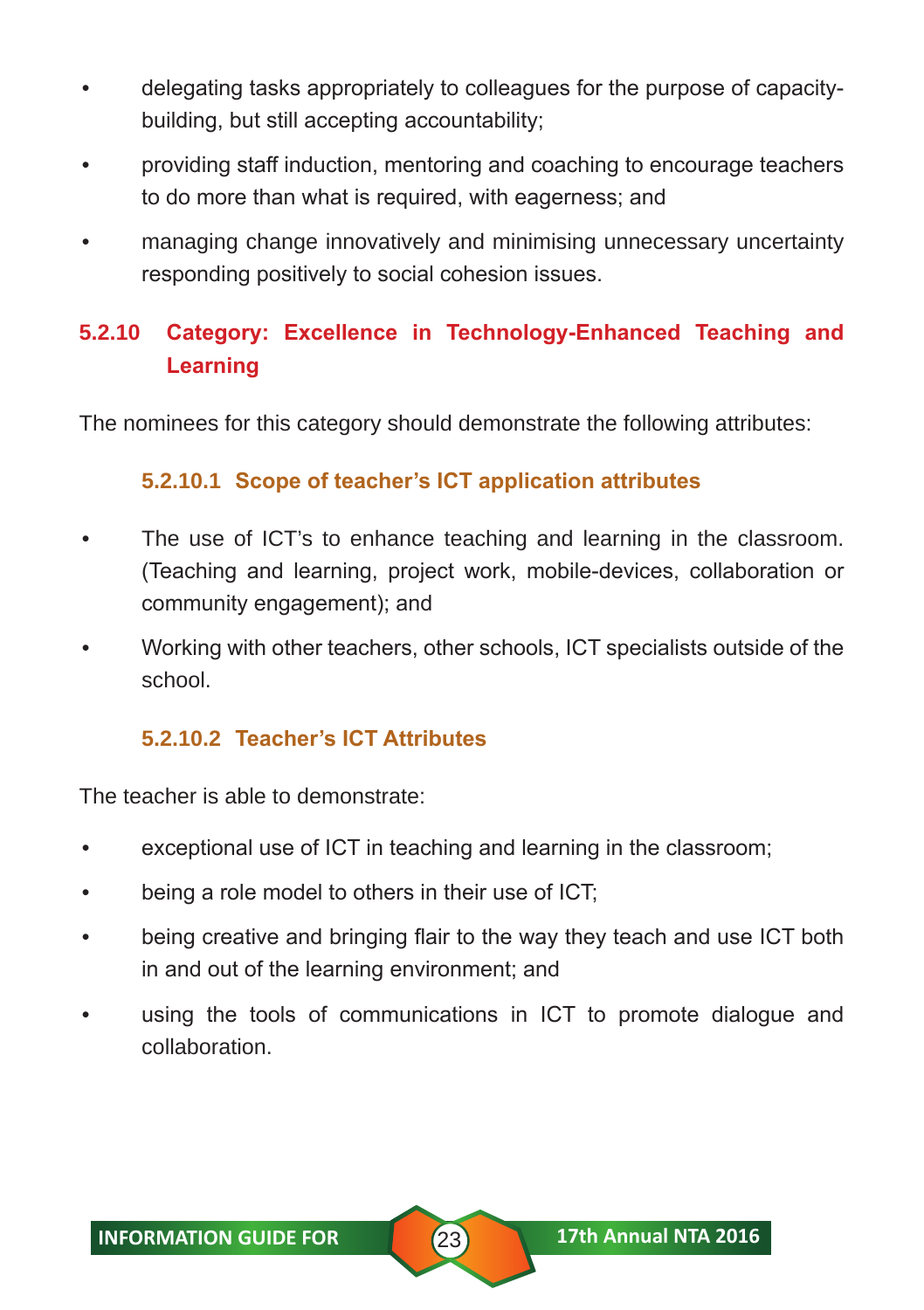- delegating tasks appropriately to colleagues for the purpose of capacitybuilding, but still accepting accountability;
- providing staff induction, mentoring and coaching to encourage teachers to do more than what is required, with eagerness; and
- managing change innovatively and minimising unnecessary uncertainty responding positively to social cohesion issues.

# **5.2.10 Category: Excellence in Technology-Enhanced Teaching and Learning**

The nominees for this category should demonstrate the following attributes:

#### **5.2.10.1 Scope of teacher's ICT application attributes**

- The use of ICT's to enhance teaching and learning in the classroom. (Teaching and learning, project work, mobile-devices, collaboration or community engagement); and
- Working with other teachers, other schools, ICT specialists outside of the school.

#### **5.2.10.2 Teacher's ICT Attributes**

The teacher is able to demonstrate:

- exceptional use of ICT in teaching and learning in the classroom;
- being a role model to others in their use of ICT;
- being creative and bringing flair to the way they teach and use ICT both in and out of the learning environment; and
- using the tools of communications in ICT to promote dialogue and collaboration.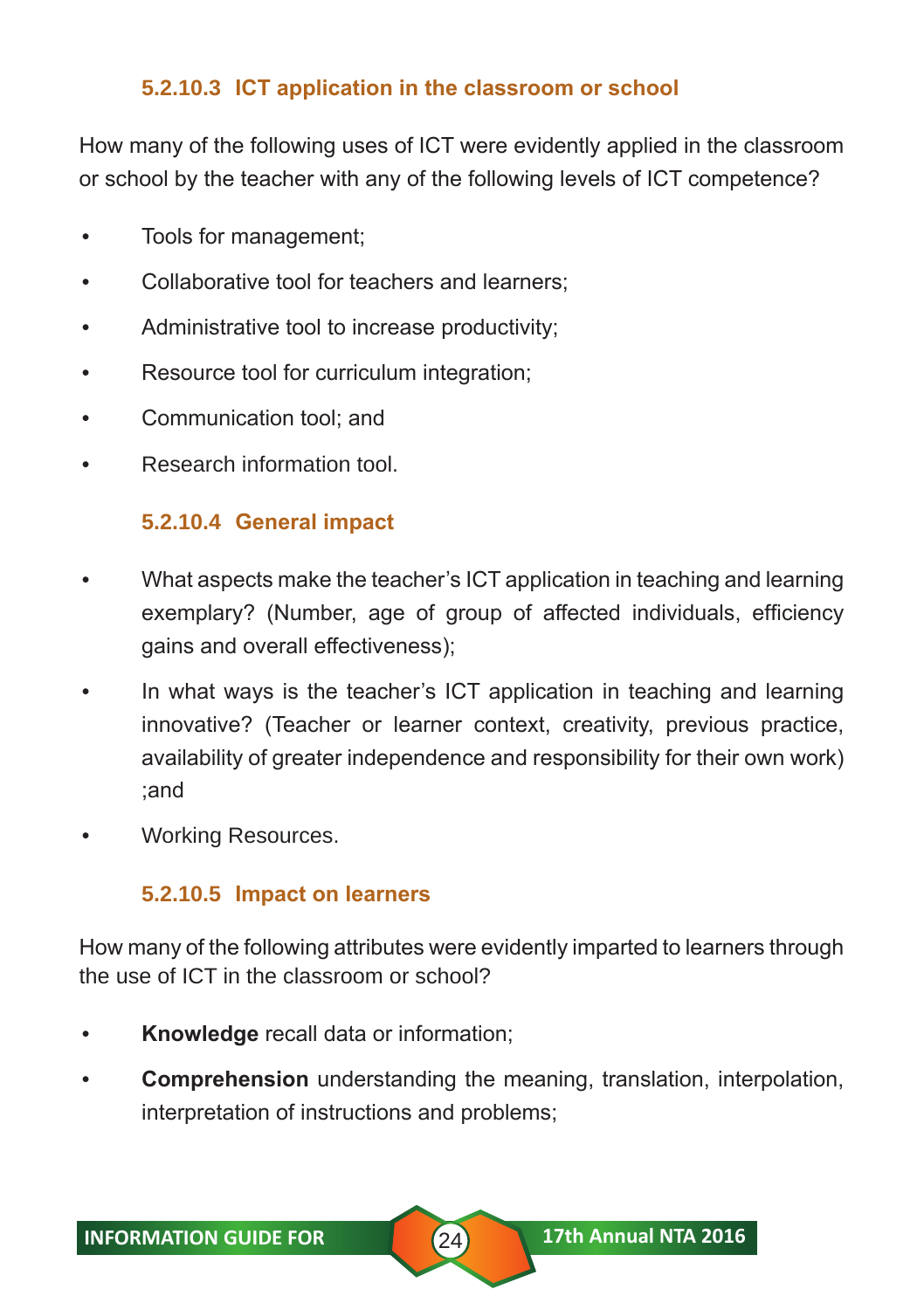#### **5.2.10.3 ICT application in the classroom or school**

How many of the following uses of ICT were evidently applied in the classroom or school by the teacher with any of the following levels of ICT competence?

- Tools for management;
- Collaborative tool for teachers and learners;
- Administrative tool to increase productivity;
- Resource tool for curriculum integration;
- Communication tool; and
- Research information tool.

## **5.2.10.4 General impact**

- What aspects make the teacher's ICT application in teaching and learning exemplary? (Number, age of group of affected individuals, efficiency gains and overall effectiveness);
- In what ways is the teacher's ICT application in teaching and learning innovative? (Teacher or learner context, creativity, previous practice, availability of greater independence and responsibility for their own work) ;and
- Working Resources.

# **5.2.10.5 Impact on learners**

How many of the following attributes were evidently imparted to learners through the use of ICT in the classroom or school?

- **Knowledge** recall data or information;
- **Comprehension** understanding the meaning, translation, interpolation, interpretation of instructions and problems;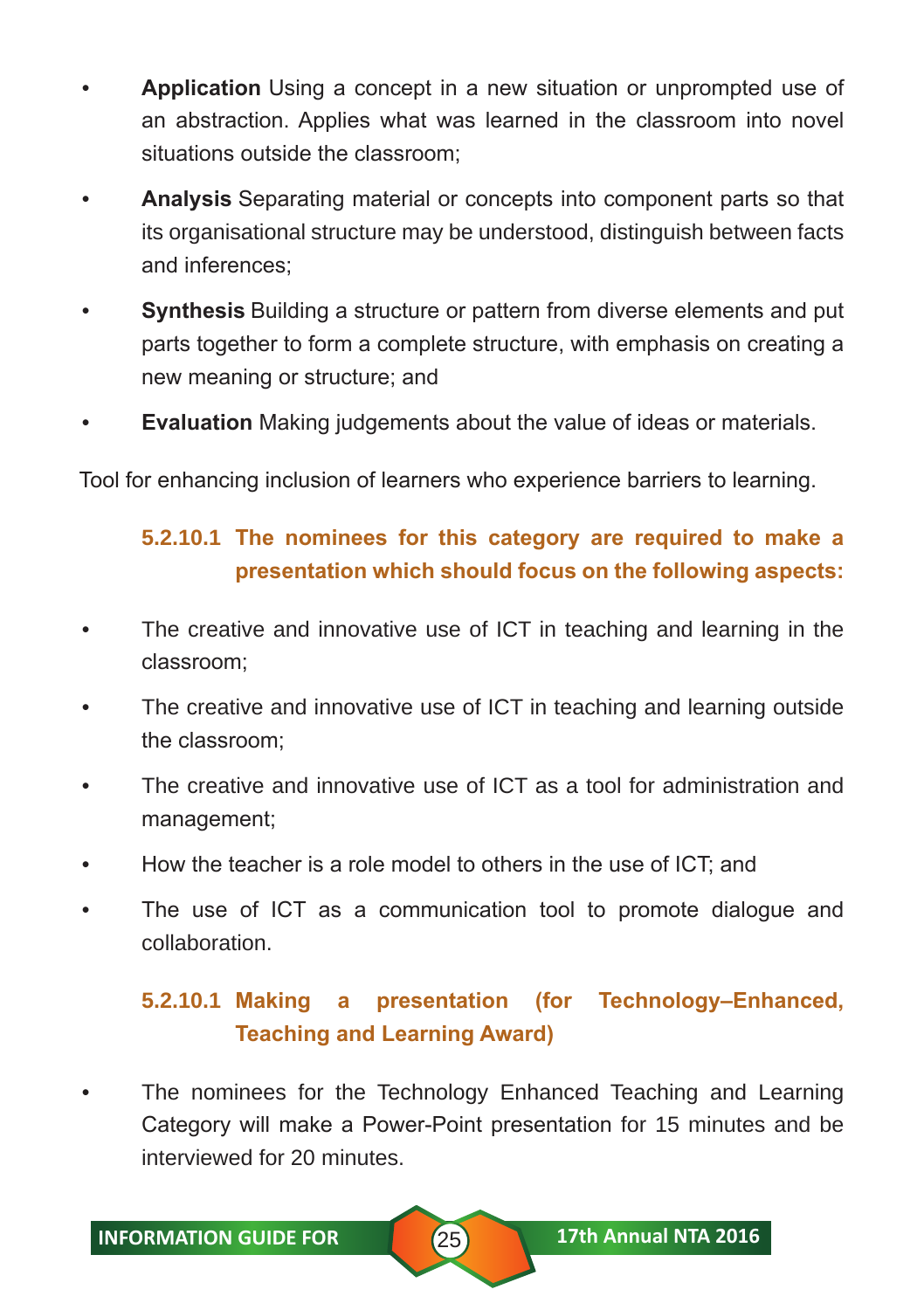- **Application** Using a concept in a new situation or unprompted use of an abstraction. Applies what was learned in the classroom into novel situations outside the classroom;
- **Analysis** Separating material or concepts into component parts so that its organisational structure may be understood, distinguish between facts and inferences;
- **Synthesis** Building a structure or pattern from diverse elements and put parts together to form a complete structure, with emphasis on creating a new meaning or structure; and
- **Evaluation** Making judgements about the value of ideas or materials.

Tool for enhancing inclusion of learners who experience barriers to learning.

# **5.2.10.1 The nominees for this category are required to make a presentation which should focus on the following aspects:**

- The creative and innovative use of ICT in teaching and learning in the classroom;
- The creative and innovative use of ICT in teaching and learning outside the classroom;
- The creative and innovative use of ICT as a tool for administration and management;
- How the teacher is a role model to others in the use of ICT; and
- The use of ICT as a communication tool to promote dialogue and collaboration.

# **5.2.10.1 Making a presentation (for Technology–Enhanced, Teaching and Learning Award)**

The nominees for the Technology Enhanced Teaching and Learning Category will make a Power-Point presentation for 15 minutes and be interviewed for 20 minutes.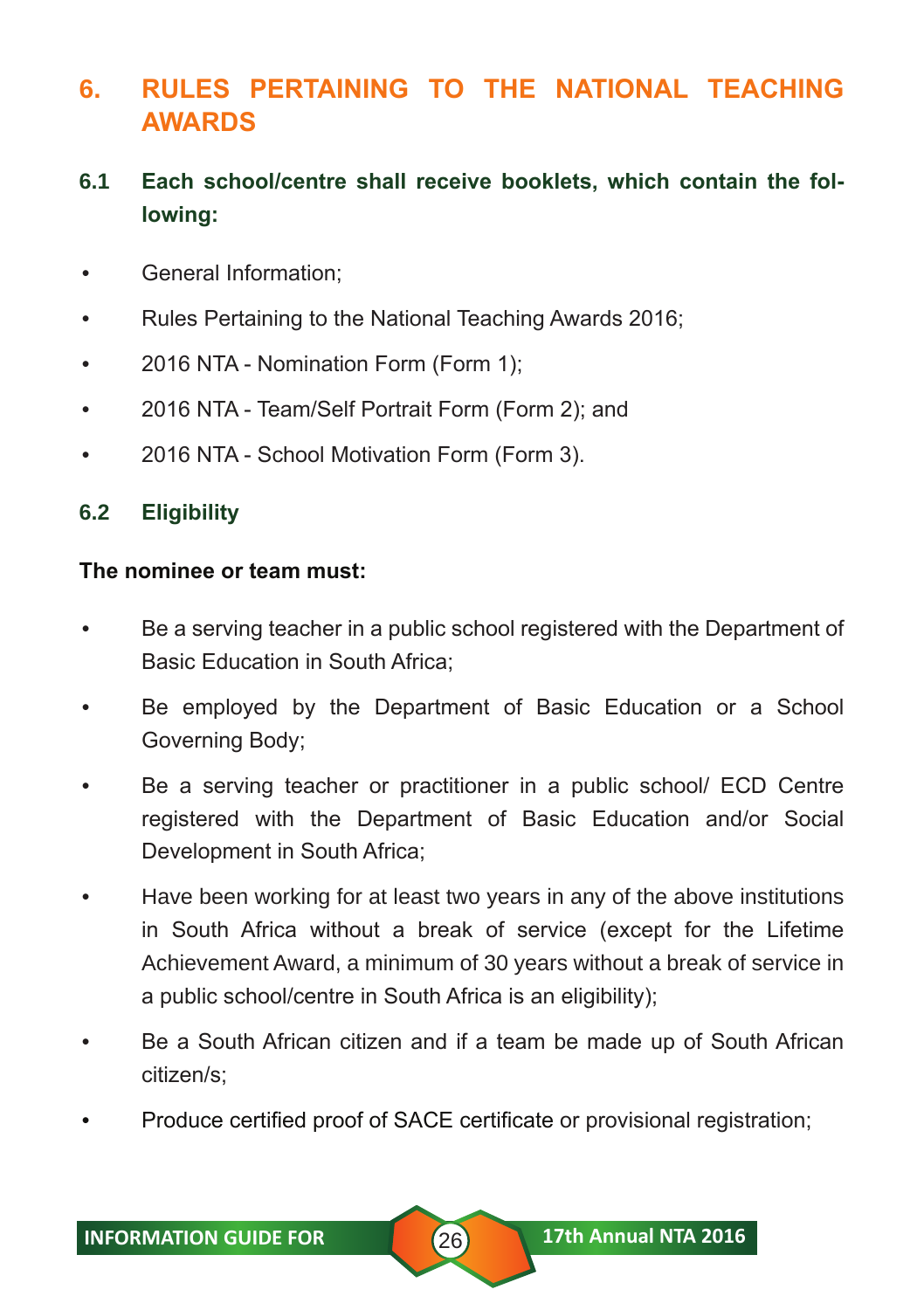# **6. RULES PERTAINING TO THE NATIONAL TEACHING AWARDS**

# **6.1 Each school/centre shall receive booklets, which contain the following:**

- General Information;
- Rules Pertaining to the National Teaching Awards 2016;
- 2016 NTA Nomination Form (Form 1);
- 2016 NTA Team/Self Portrait Form (Form 2); and
- 2016 NTA School Motivation Form (Form 3).

#### **6.2 Eligibility**

#### **The nominee or team must:**

- Be a serving teacher in a public school registered with the Department of Basic Education in South Africa;
- Be employed by the Department of Basic Education or a School Governing Body;
- Be a serving teacher or practitioner in a public school/ ECD Centre registered with the Department of Basic Education and/or Social Development in South Africa;
- Have been working for at least two years in any of the above institutions in South Africa without a break of service (except for the Lifetime Achievement Award, a minimum of 30 years without a break of service in a public school/centre in South Africa is an eligibility);
- Be a South African citizen and if a team be made up of South African citizen/s;
- Produce certified proof of SACE certificate or provisional registration;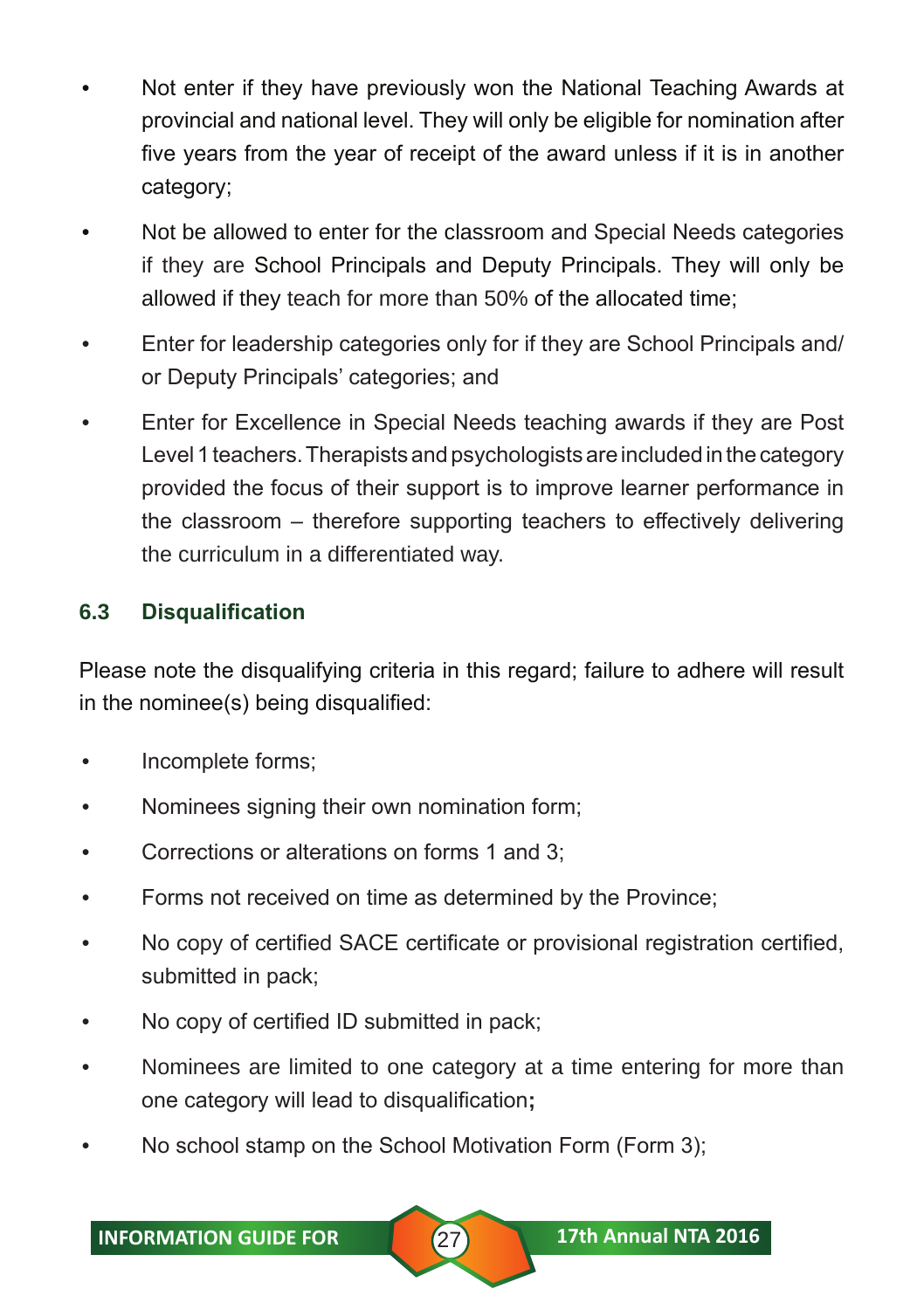- Not enter if they have previously won the National Teaching Awards at provincial and national level. They will only be eligible for nomination after five years from the year of receipt of the award unless if it is in another category;
- Not be allowed to enter for the classroom and Special Needs categories if they are School Principals and Deputy Principals. They will only be allowed if they teach for more than 50% of the allocated time;
- Enter for leadership categories only for if they are School Principals and/ or Deputy Principals' categories; and
- Enter for Excellence in Special Needs teaching awards if they are Post Level 1 teachers. Therapists and psychologists are included in the category provided the focus of their support is to improve learner performance in the classroom – therefore supporting teachers to effectively delivering the curriculum in a differentiated way.

#### **6.3 Disqualification**

Please note the disqualifying criteria in this regard; failure to adhere will result in the nominee(s) being disqualified:

- Incomplete forms;
- Nominees signing their own nomination form;
- Corrections or alterations on forms 1 and 3;
- Forms not received on time as determined by the Province;
- No copy of certified SACE certificate or provisional registration certified, submitted in pack;
- No copy of certified ID submitted in pack;
- Nominees are limited to one category at a time entering for more than one category will lead to disqualification**;**
- No school stamp on the School Motivation Form (Form 3);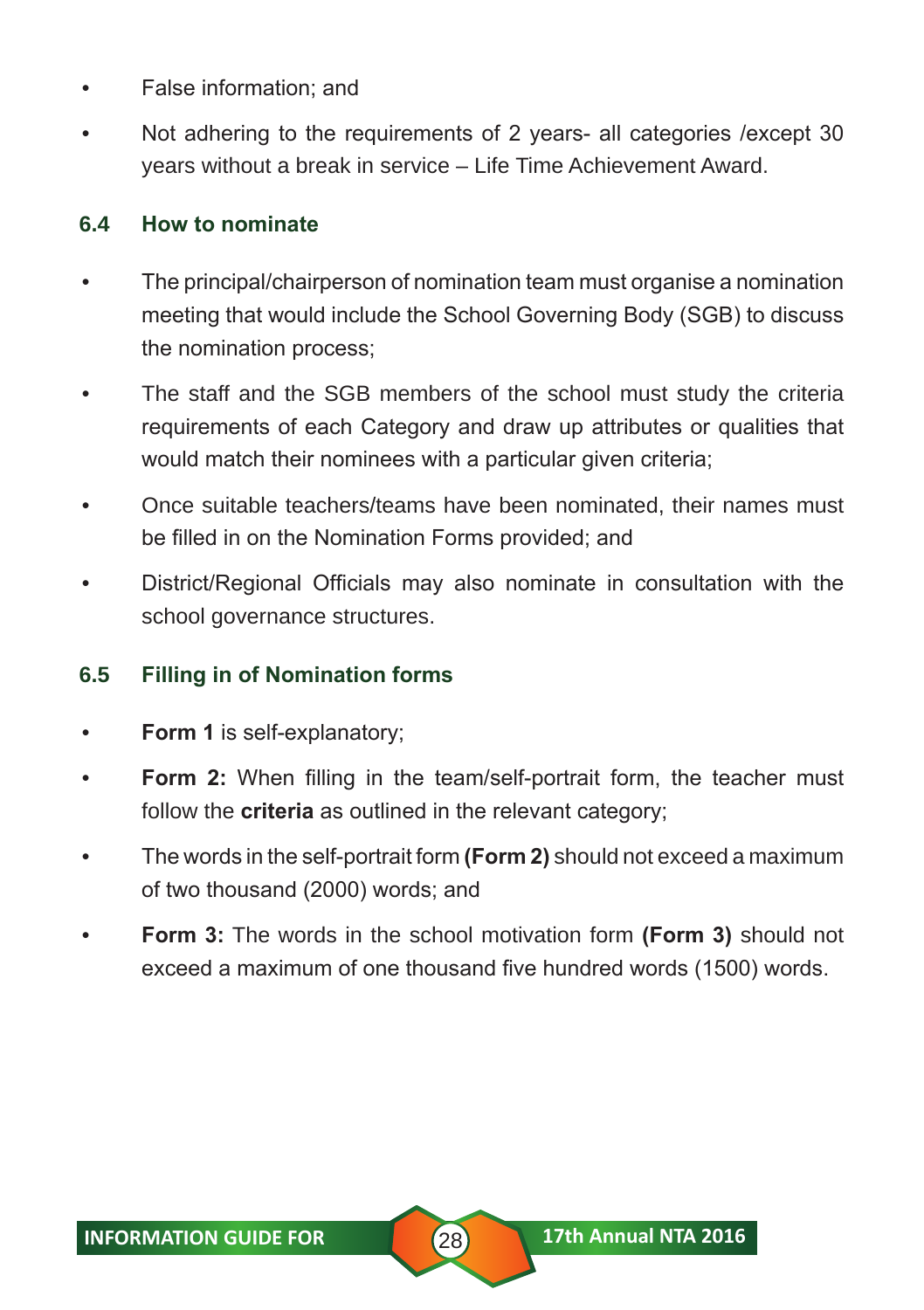- False information; and
- Not adhering to the requirements of 2 years- all categories /except 30 years without a break in service – Life Time Achievement Award.

#### **6.4 How to nominate**

- The principal/chairperson of nomination team must organise a nomination meeting that would include the School Governing Body (SGB) to discuss the nomination process;
- The staff and the SGB members of the school must study the criteria requirements of each Category and draw up attributes or qualities that would match their nominees with a particular given criteria;
- Once suitable teachers/teams have been nominated, their names must be filled in on the Nomination Forms provided; and
- District/Regional Officials may also nominate in consultation with the school governance structures.

#### **6.5 Filling in of Nomination forms**

- **Form 1** is self-explanatory;
- **Form 2:** When filling in the team/self-portrait form, the teacher must follow the **criteria** as outlined in the relevant category;
- The words in the self-portrait form **(Form 2)** should not exceed a maximum of two thousand (2000) words; and
- **Form 3:** The words in the school motivation form **(Form 3)** should not exceed a maximum of one thousand five hundred words (1500) words.

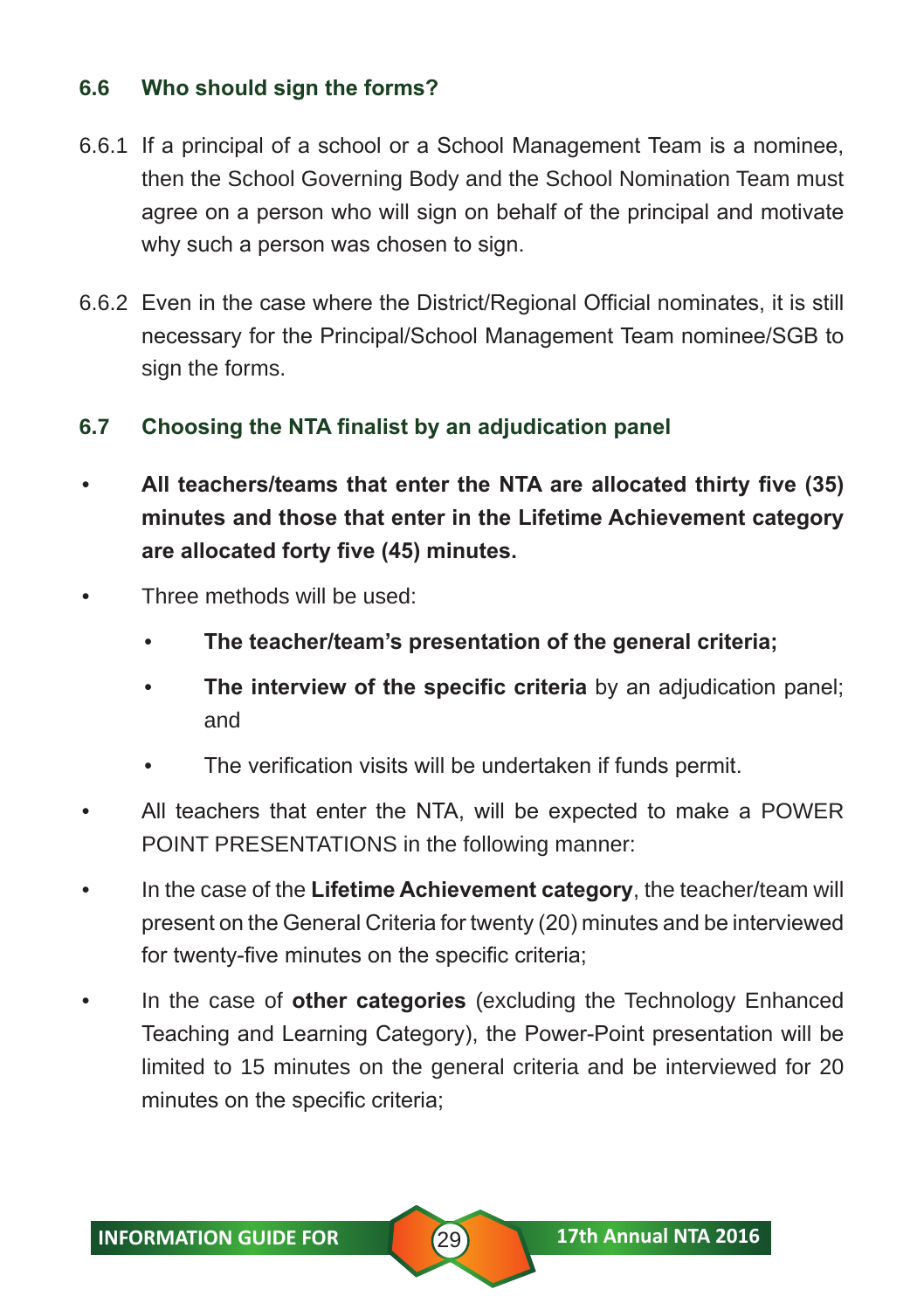#### **6.6 Who should sign the forms?**

- 6.6.1 If a principal of a school or a School Management Team is a nominee, then the School Governing Body and the School Nomination Team must agree on a person who will sign on behalf of the principal and motivate why such a person was chosen to sign.
- 6.6.2 Even in the case where the District/Regional Official nominates, it is still necessary for the Principal/School Management Team nominee/SGB to sign the forms.

#### **6.7 Choosing the NTA finalist by an adjudication panel**

- **All teachers/teams that enter the NTA are allocated thirty five (35) minutes and those that enter in the Lifetime Achievement category are allocated forty five (45) minutes.**
- Three methods will be used:
	- **The teacher/team's presentation of the general criteria;**
	- **The interview of the specific criteria** by an adjudication panel; and
	- The verification visits will be undertaken if funds permit.
- All teachers that enter the NTA, will be expected to make a POWER POINT PRESENTATIONS in the following manner:
- In the case of the **Lifetime Achievement category**, the teacher/team will present on the General Criteria for twenty (20) minutes and be interviewed for twenty-five minutes on the specific criteria;
- In the case of **other categories** (excluding the Technology Enhanced Teaching and Learning Category), the Power-Point presentation will be limited to 15 minutes on the general criteria and be interviewed for 20 minutes on the specific criteria;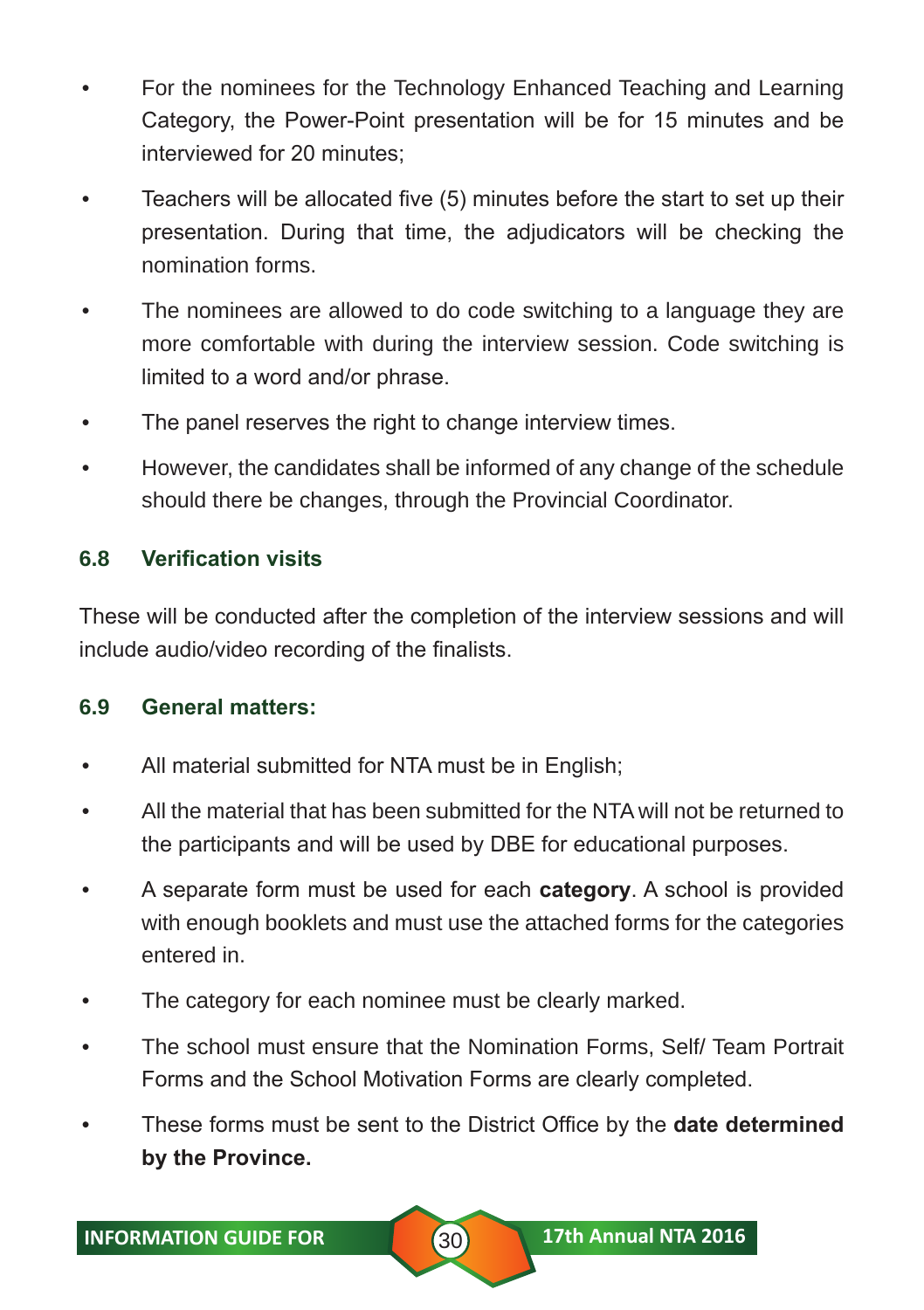- For the nominees for the Technology Enhanced Teaching and Learning Category, the Power-Point presentation will be for 15 minutes and be interviewed for 20 minutes;
- Teachers will be allocated five (5) minutes before the start to set up their presentation. During that time, the adjudicators will be checking the nomination forms.
- The nominees are allowed to do code switching to a language they are more comfortable with during the interview session. Code switching is limited to a word and/or phrase.
- The panel reserves the right to change interview times.
- However, the candidates shall be informed of any change of the schedule should there be changes, through the Provincial Coordinator.

#### **6.8 Verification visits**

These will be conducted after the completion of the interview sessions and will include audio/video recording of the finalists.

#### **6.9 General matters:**

- All material submitted for NTA must be in English;
- All the material that has been submitted for the NTA will not be returned to the participants and will be used by DBE for educational purposes.
- A separate form must be used for each **category**. A school is provided with enough booklets and must use the attached forms for the categories entered in.
- The category for each nominee must be clearly marked.
- The school must ensure that the Nomination Forms, Self/ Team Portrait Forms and the School Motivation Forms are clearly completed.
- These forms must be sent to the District Office by the **date determined by the Province.**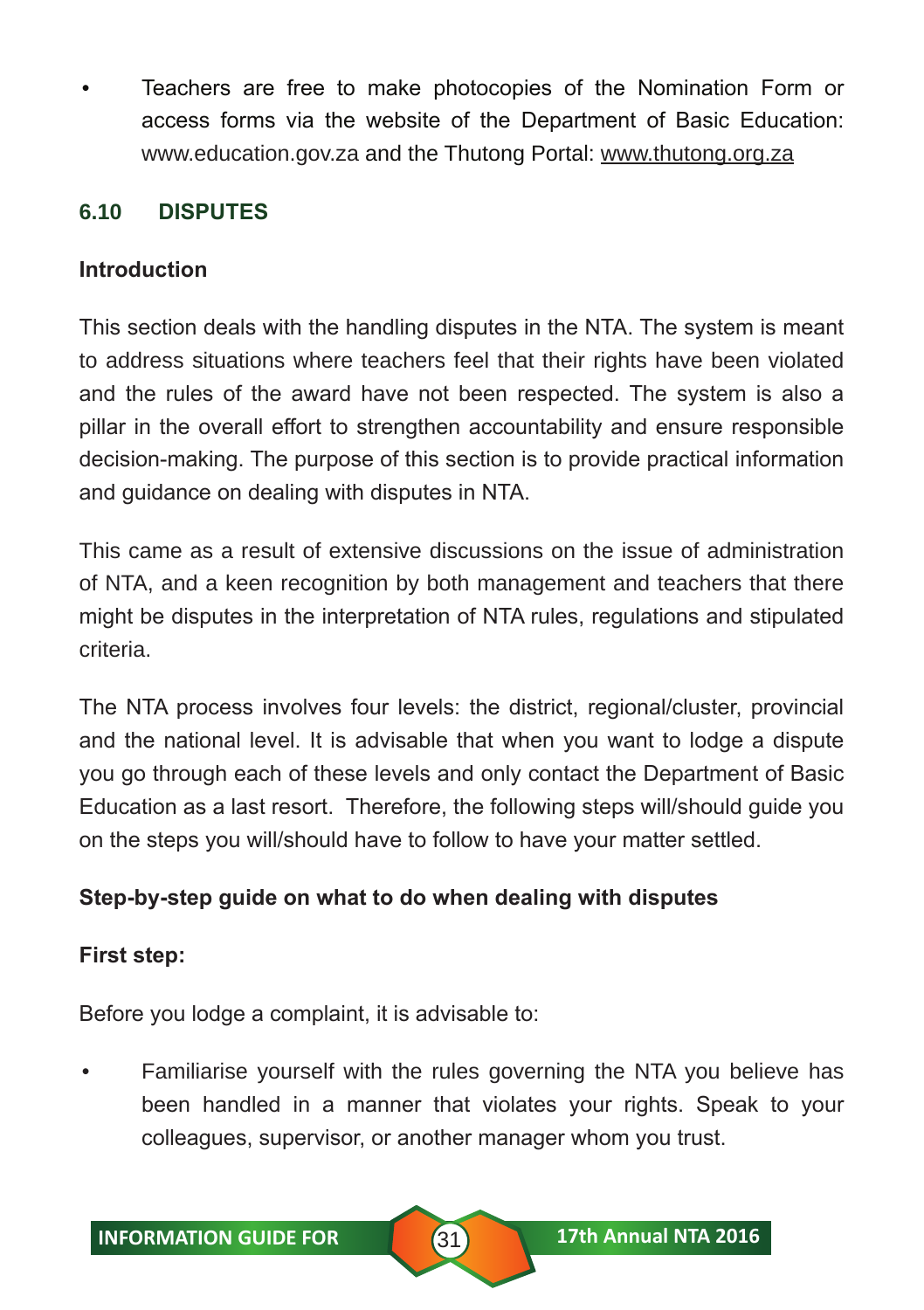• Teachers are free to make photocopies of the Nomination Form or access forms via the website of the Department of Basic Education: www.education.gov.za and the Thutong Portal: www.thutong.org.za

### **6.10 DISPUTES**

#### **Introduction**

This section deals with the handling disputes in the NTA. The system is meant to address situations where teachers feel that their rights have been violated and the rules of the award have not been respected. The system is also a pillar in the overall effort to strengthen accountability and ensure responsible decision-making. The purpose of this section is to provide practical information and guidance on dealing with disputes in NTA.

This came as a result of extensive discussions on the issue of administration of NTA, and a keen recognition by both management and teachers that there might be disputes in the interpretation of NTA rules, regulations and stipulated criteria.

The NTA process involves four levels: the district, regional/cluster, provincial and the national level. It is advisable that when you want to lodge a dispute you go through each of these levels and only contact the Department of Basic Education as a last resort. Therefore, the following steps will/should guide you on the steps you will/should have to follow to have your matter settled.

#### **Step-by-step guide on what to do when dealing with disputes**

#### **First step:**

Before you lodge a complaint, it is advisable to:

• Familiarise yourself with the rules governing the NTA you believe has been handled in a manner that violates your rights. Speak to your colleagues, supervisor, or another manager whom you trust.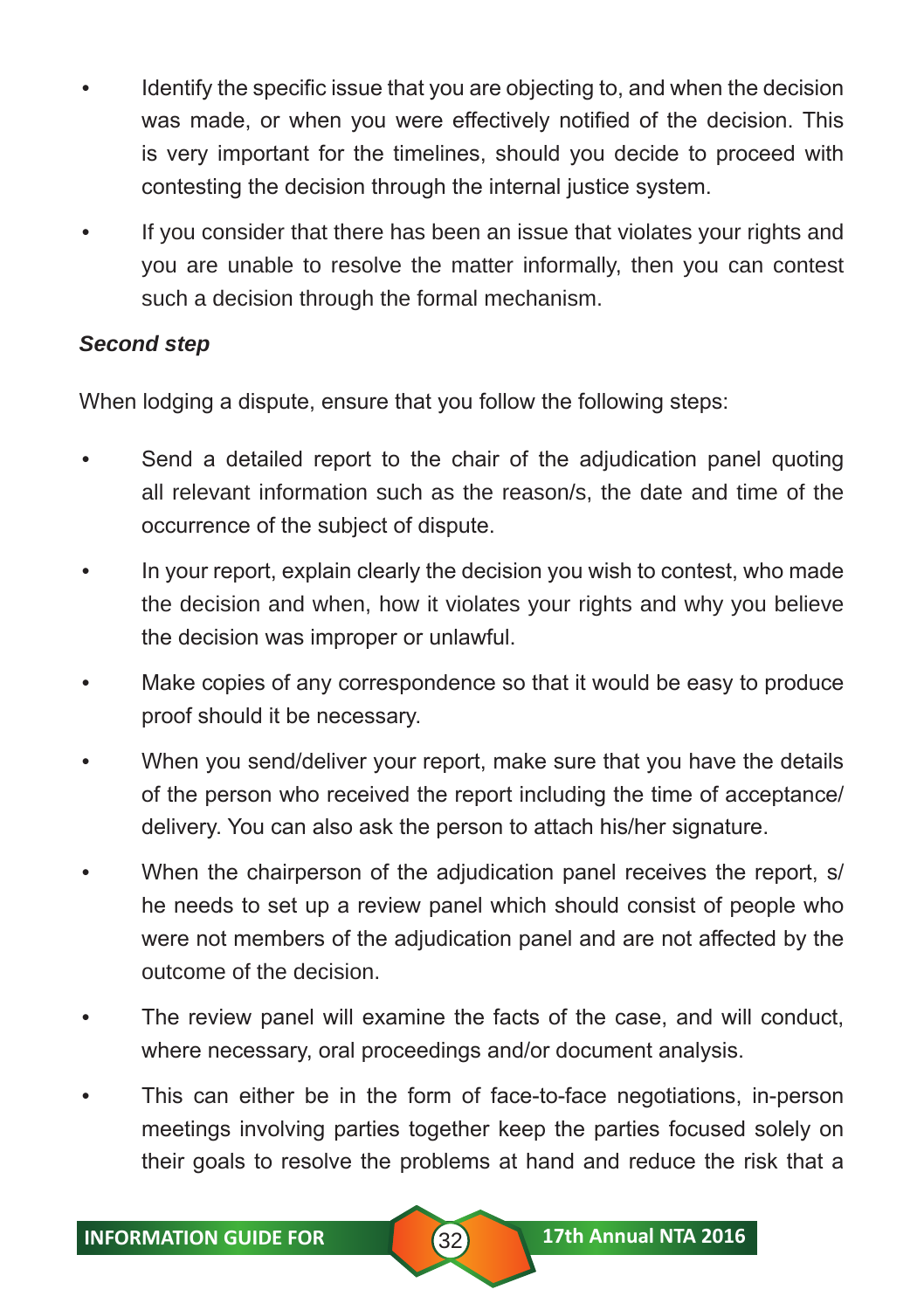- Identify the specific issue that you are objecting to, and when the decision was made, or when you were effectively notified of the decision. This is very important for the timelines, should you decide to proceed with contesting the decision through the internal justice system.
- If you consider that there has been an issue that violates your rights and you are unable to resolve the matter informally, then you can contest such a decision through the formal mechanism.

#### *Second step*

When lodging a dispute, ensure that you follow the following steps:

- Send a detailed report to the chair of the adjudication panel quoting all relevant information such as the reason/s, the date and time of the occurrence of the subject of dispute.
- In your report, explain clearly the decision you wish to contest, who made the decision and when, how it violates your rights and why you believe the decision was improper or unlawful.
- Make copies of any correspondence so that it would be easy to produce proof should it be necessary.
- When you send/deliver your report, make sure that you have the details of the person who received the report including the time of acceptance/ delivery. You can also ask the person to attach his/her signature.
- When the chairperson of the adjudication panel receives the report, s/ he needs to set up a review panel which should consist of people who were not members of the adjudication panel and are not affected by the outcome of the decision.
- The review panel will examine the facts of the case, and will conduct, where necessary, oral proceedings and/or document analysis.
- This can either be in the form of face-to-face negotiations, in-person meetings involving parties together keep the parties focused solely on their goals to resolve the problems at hand and reduce the risk that a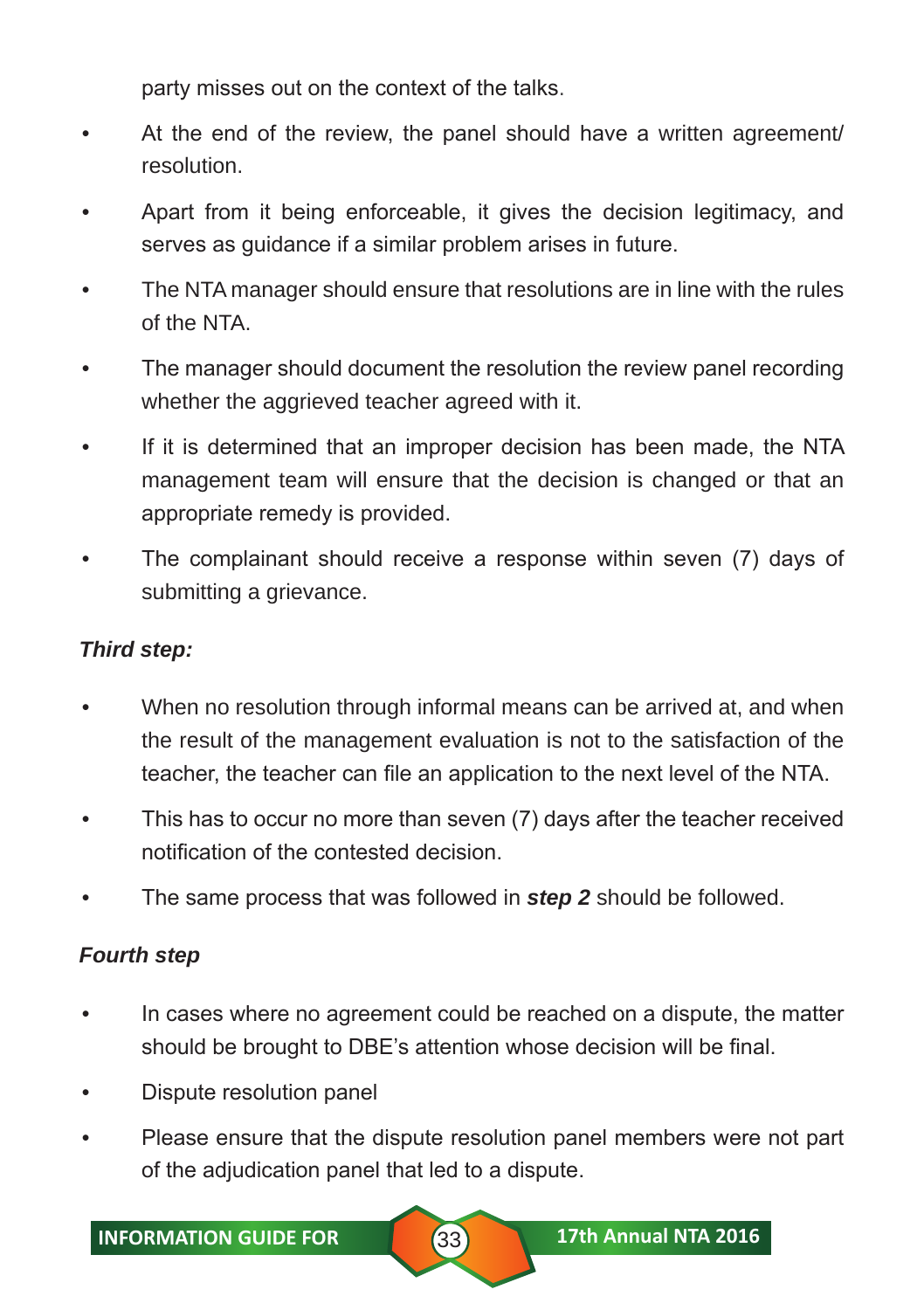party misses out on the context of the talks.

- At the end of the review, the panel should have a written agreement/ resolution.
- Apart from it being enforceable, it gives the decision legitimacy, and serves as guidance if a similar problem arises in future.
- The NTA manager should ensure that resolutions are in line with the rules of the NTA.
- The manager should document the resolution the review panel recording whether the aggrieved teacher agreed with it.
- If it is determined that an improper decision has been made, the NTA management team will ensure that the decision is changed or that an appropriate remedy is provided.
- The complainant should receive a response within seven (7) days of submitting a grievance.

#### *Third step:*

- When no resolution through informal means can be arrived at, and when the result of the management evaluation is not to the satisfaction of the teacher, the teacher can file an application to the next level of the NTA.
- This has to occur no more than seven (7) days after the teacher received notification of the contested decision.
- The same process that was followed in *step 2* should be followed.

#### *Fourth step*

- In cases where no agreement could be reached on a dispute, the matter should be brought to DBE's attention whose decision will be final.
- Dispute resolution panel
- Please ensure that the dispute resolution panel members were not part of the adjudication panel that led to a dispute.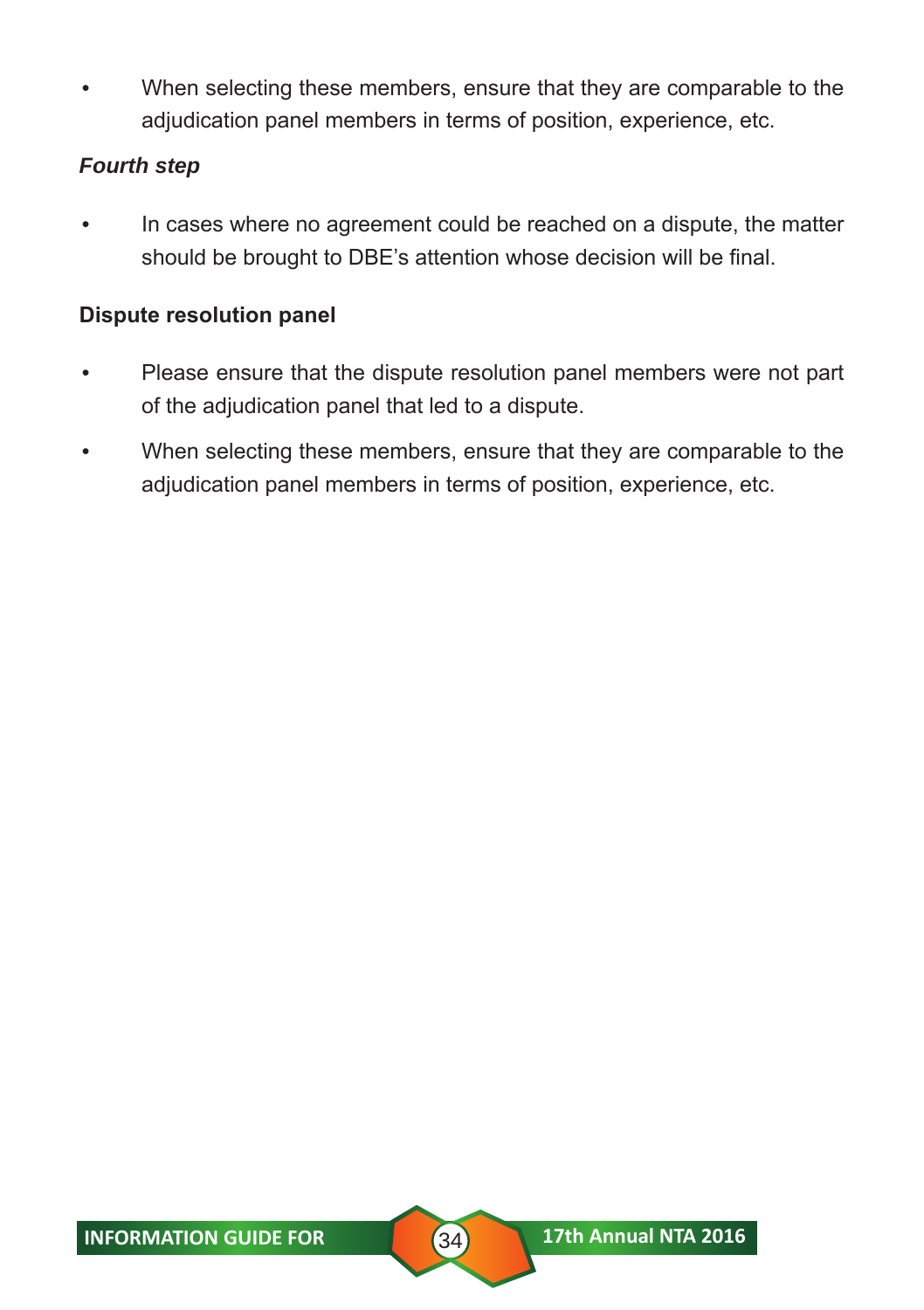When selecting these members, ensure that they are comparable to the adjudication panel members in terms of position, experience, etc.

#### *Fourth step*

• In cases where no agreement could be reached on a dispute, the matter should be brought to DBE's attention whose decision will be final.

#### **Dispute resolution panel**

- Please ensure that the dispute resolution panel members were not part of the adjudication panel that led to a dispute.
- When selecting these members, ensure that they are comparable to the adjudication panel members in terms of position, experience, etc.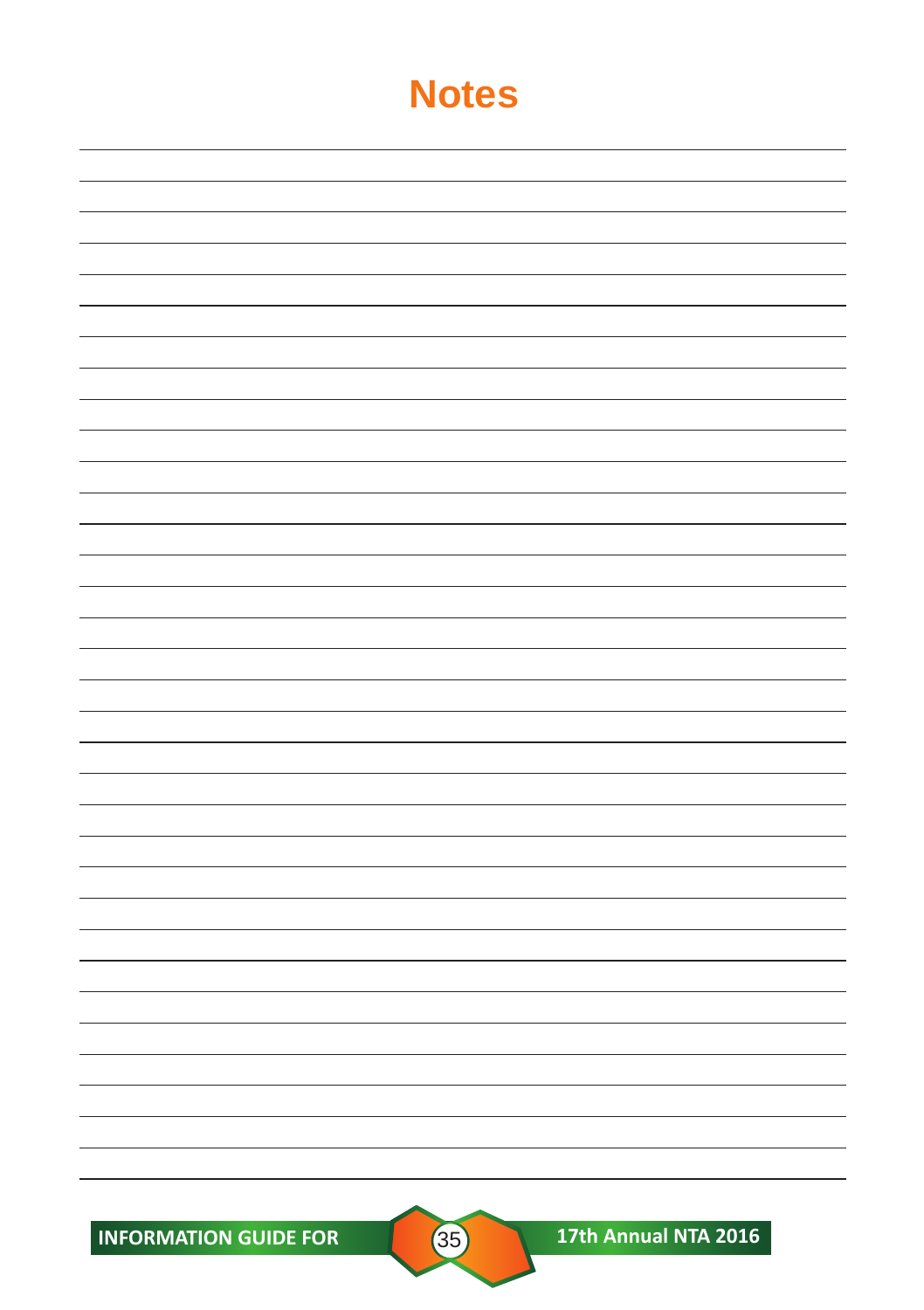INFORMATION GUIDE FOR **35** 17th Annual NTA 2016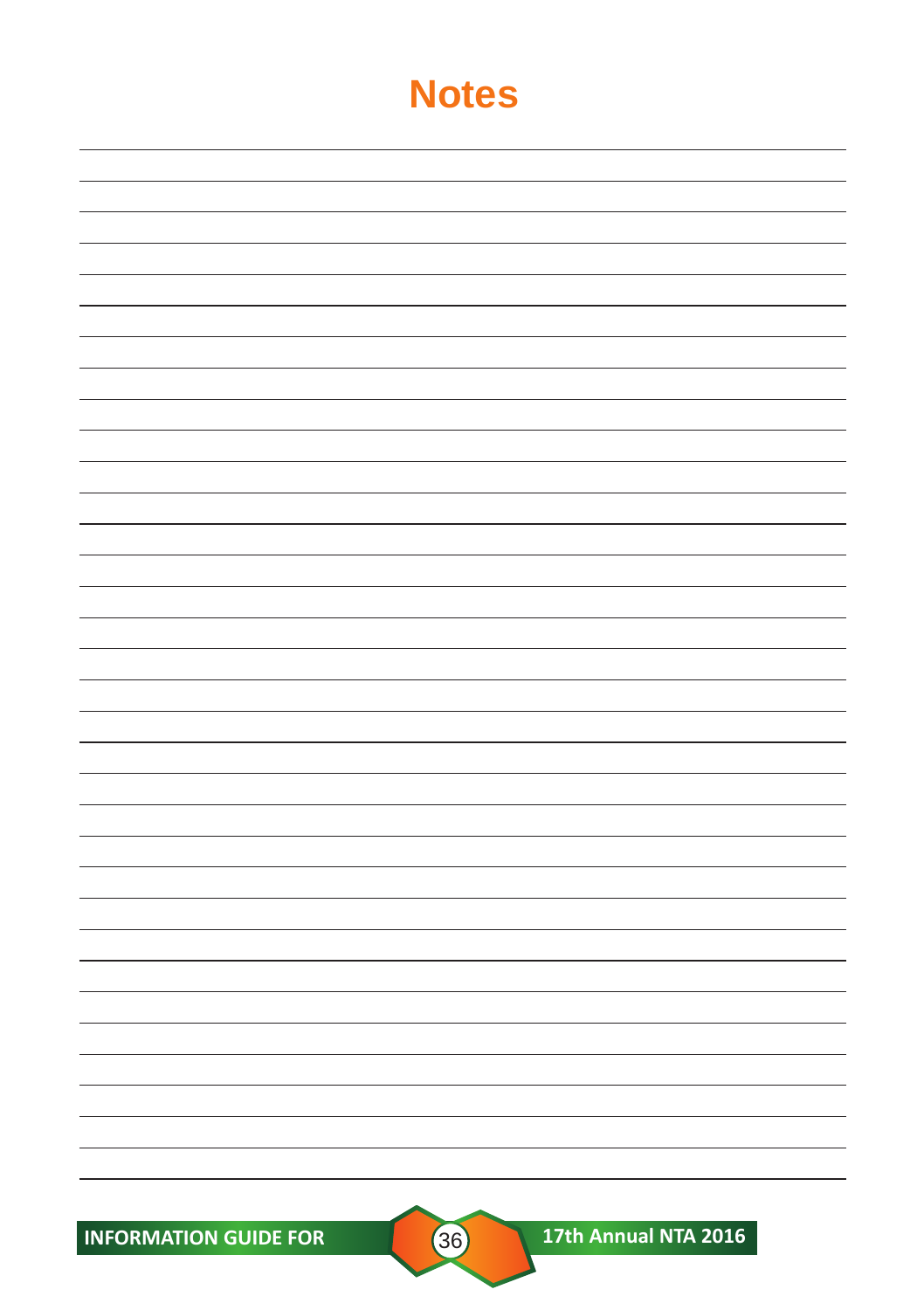**INFORMATION GUIDE FOR CONSUMING A 17th Annual NTA 2016**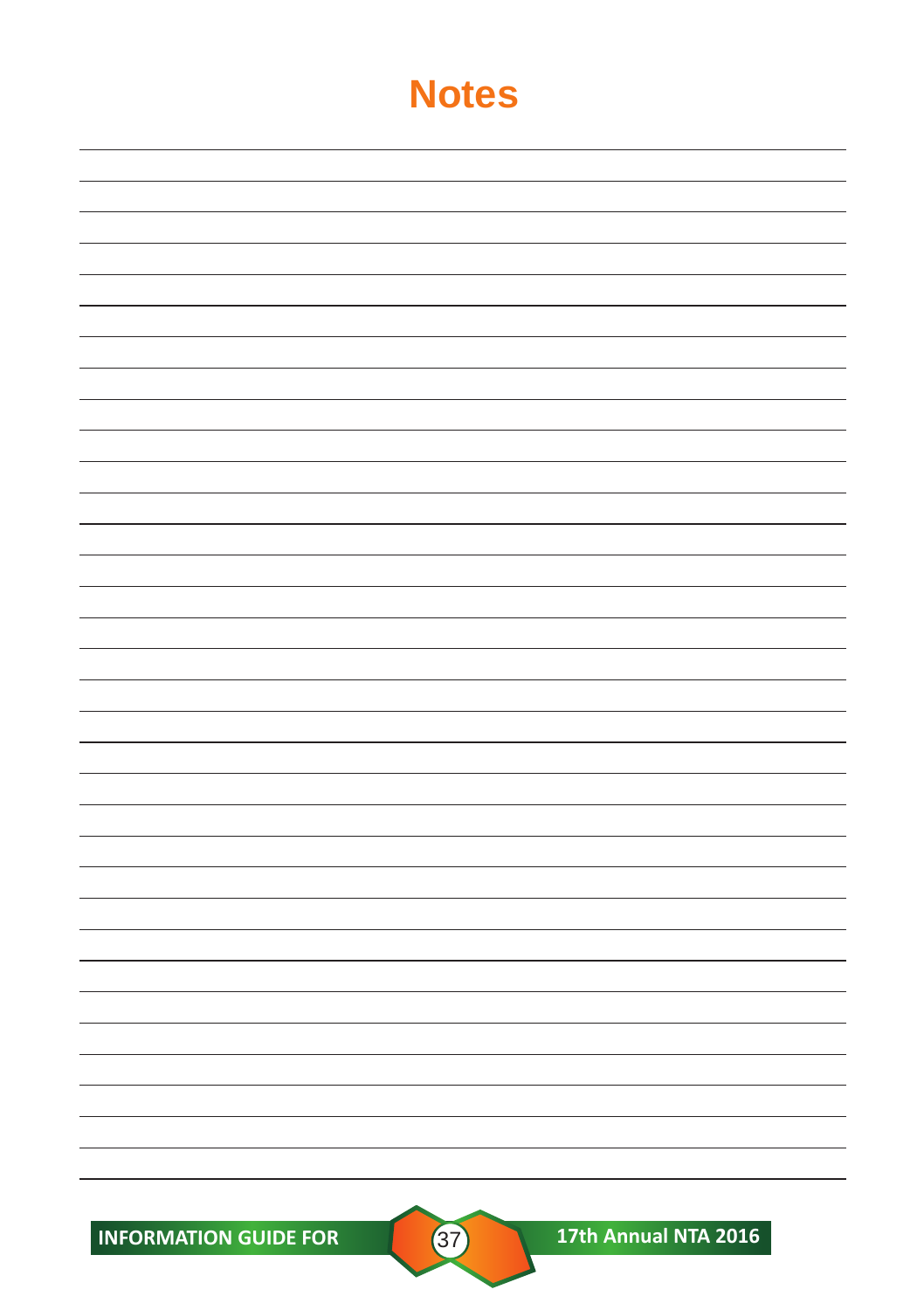**INFORMATION GUIDE FOR 37 17th Annual NTA 2016**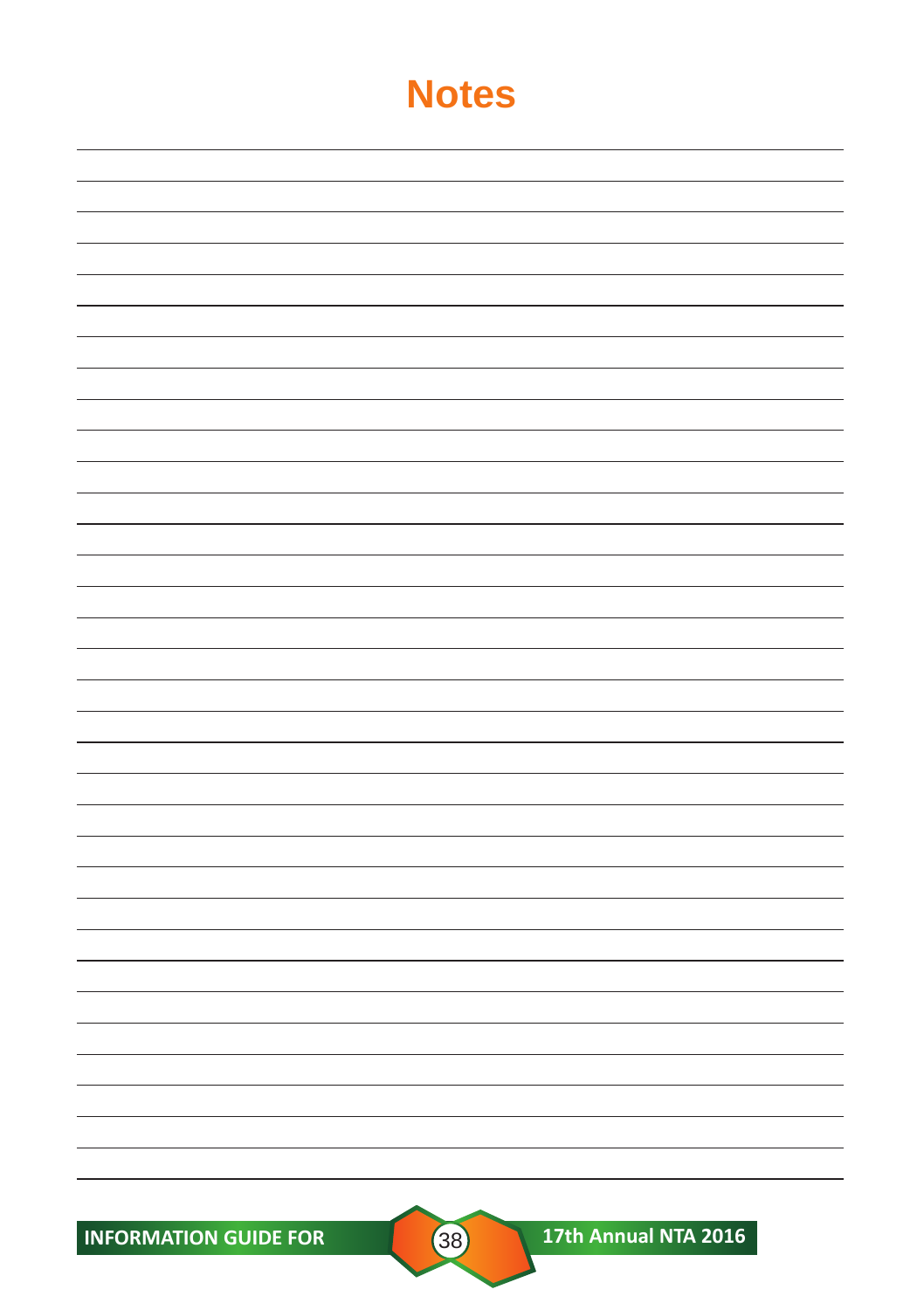**INFORMATION GUIDE FOR CONSUMING A 17th Annual NTA 2016**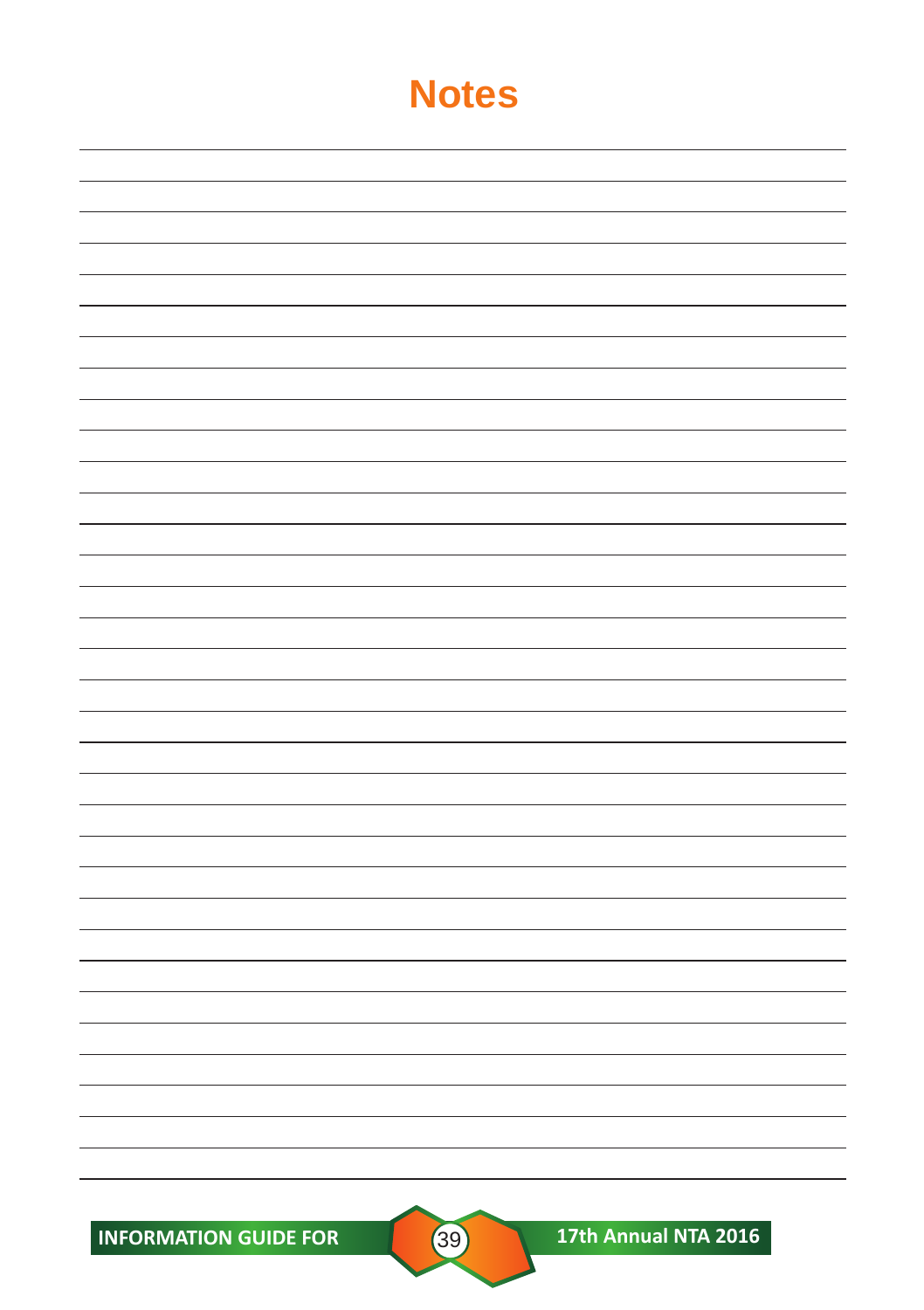**INFORMATION GUIDE FOR CONSUMING A 17th Annual NTA 2016**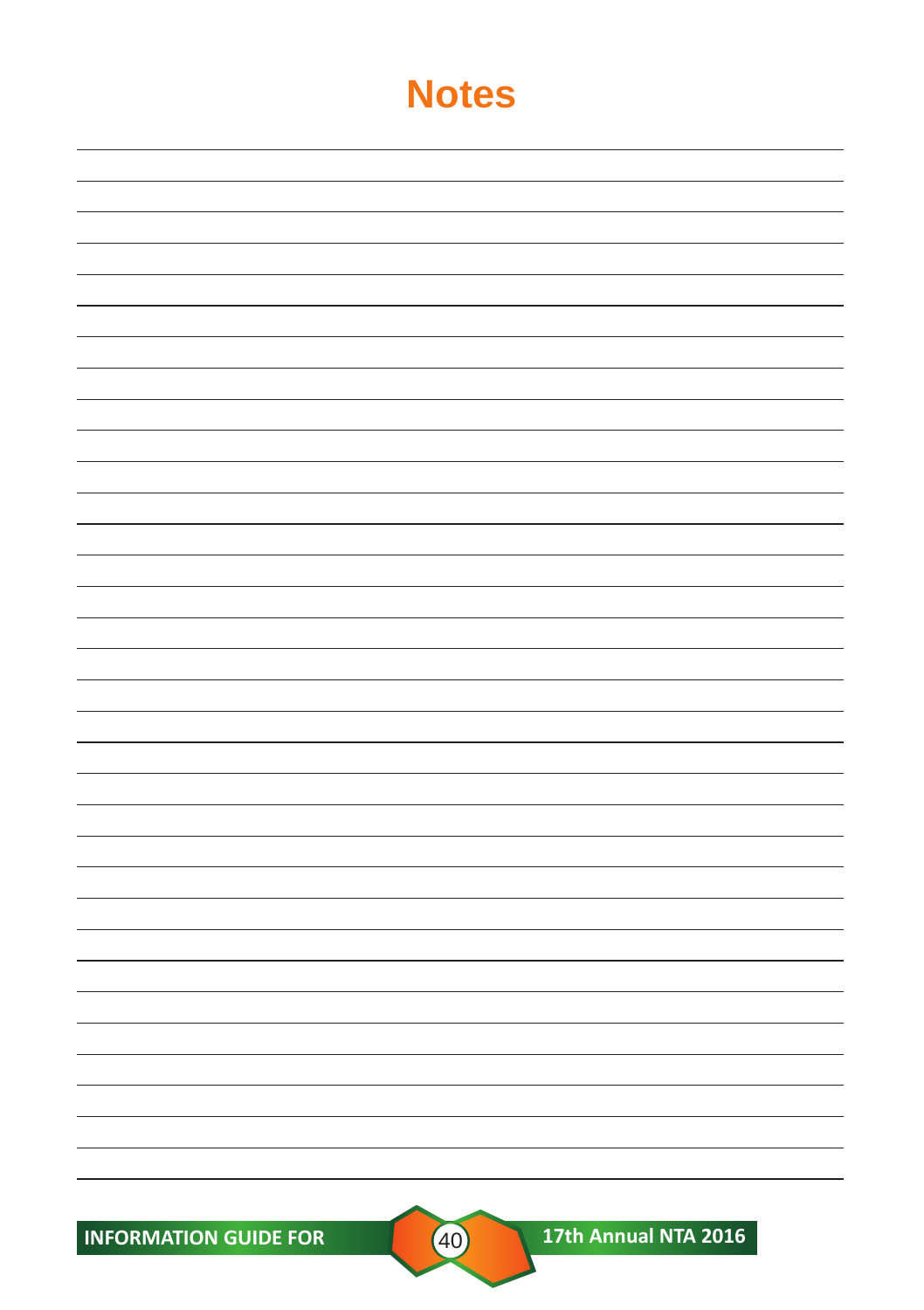**INFORMATION GUIDE FOR 40 17th Annual NTA 2016**